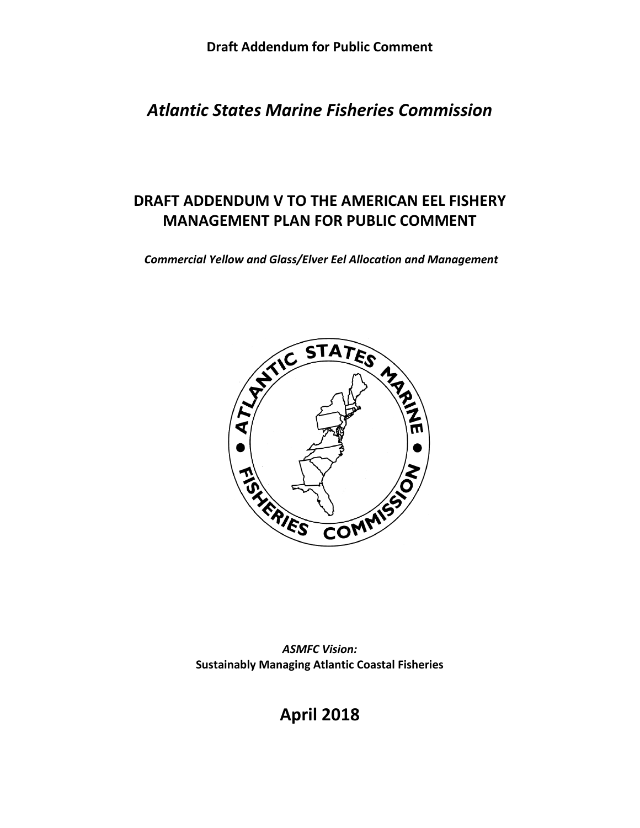*Atlantic States Marine Fisheries Commission*

# **DRAFT ADDENDUM V TO THE AMERICAN EEL FISHERY MANAGEMENT PLAN FOR PUBLIC COMMENT**

*Commercial Yellow and Glass/Elver Eel Allocation and Management* 



*ASMFC Vision:* **Sustainably Managing Atlantic Coastal Fisheries**

**April 2018**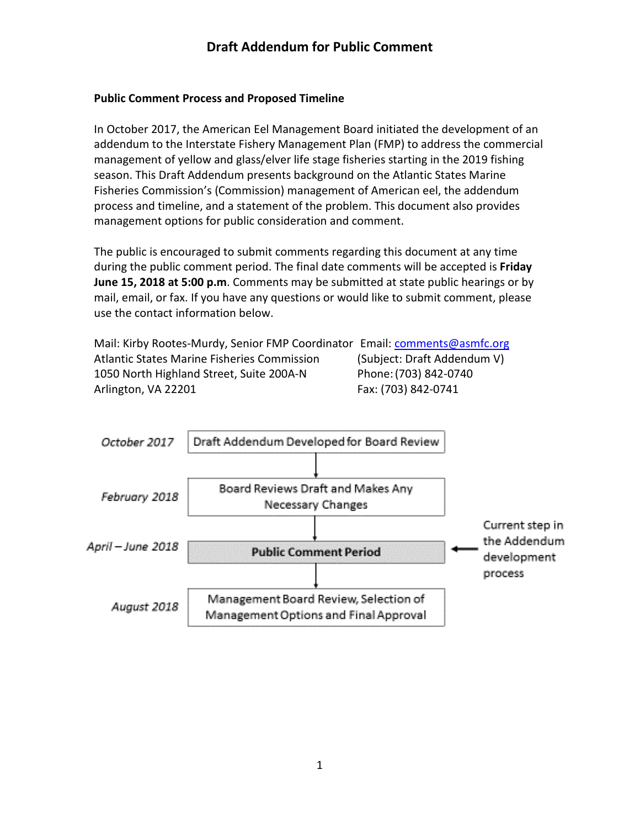#### **Public Comment Process and Proposed Timeline**

In October 2017, the American Eel Management Board initiated the development of an addendum to the Interstate Fishery Management Plan (FMP) to address the commercial management of yellow and glass/elver life stage fisheries starting in the 2019 fishing season. This Draft Addendum presents background on the Atlantic States Marine Fisheries Commission's (Commission) management of American eel, the addendum process and timeline, and a statement of the problem. This document also provides management options for public consideration and comment.

The public is encouraged to submit comments regarding this document at any time during the public comment period. The final date comments will be accepted is **Friday June 15, 2018 at 5:00 p.m**. Comments may be submitted at state public hearings or by mail, email, or fax. If you have any questions or would like to submit comment, please use the contact information below.

Mail: Kirby Rootes-Murdy, Senior FMP Coordinator Email: [comments@asmfc.org](mailto:cstarks@asmfc.org) Atlantic States Marine Fisheries Commission (Subject: Draft Addendum V) 1050 North Highland Street, Suite 200A-N Phone:(703) 842-0740 Arlington, VA 22201 **Fax: (703) 842-0741** 

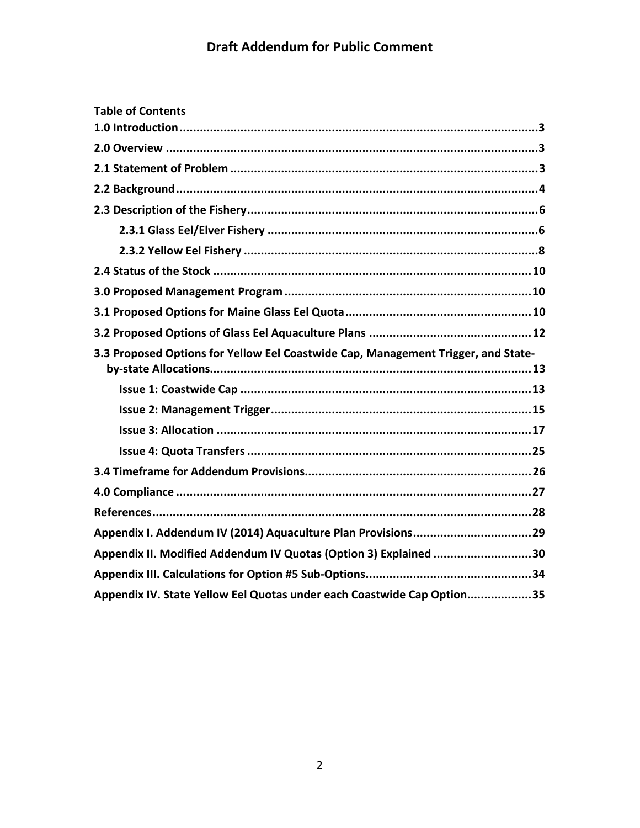| <b>Table of Contents</b>                                                          |
|-----------------------------------------------------------------------------------|
|                                                                                   |
|                                                                                   |
|                                                                                   |
|                                                                                   |
|                                                                                   |
|                                                                                   |
|                                                                                   |
|                                                                                   |
|                                                                                   |
|                                                                                   |
|                                                                                   |
| 3.3 Proposed Options for Yellow Eel Coastwide Cap, Management Trigger, and State- |
|                                                                                   |
|                                                                                   |
|                                                                                   |
|                                                                                   |
|                                                                                   |
|                                                                                   |
|                                                                                   |
|                                                                                   |
| Appendix II. Modified Addendum IV Quotas (Option 3) Explained 30                  |
|                                                                                   |
| Appendix IV. State Yellow Eel Quotas under each Coastwide Cap Option35            |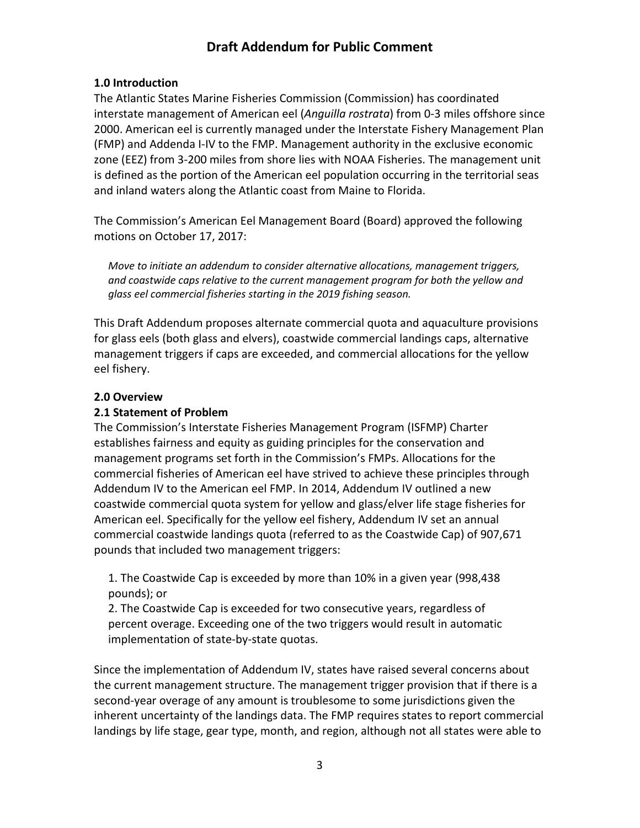### <span id="page-3-0"></span>**1.0 Introduction**

The Atlantic States Marine Fisheries Commission (Commission) has coordinated interstate management of American eel (*Anguilla rostrata*) from 0-3 miles offshore since 2000. American eel is currently managed under the Interstate Fishery Management Plan (FMP) and Addenda I-IV to the FMP. Management authority in the exclusive economic zone (EEZ) from 3-200 miles from shore lies with NOAA Fisheries. The management unit is defined as the portion of the American eel population occurring in the territorial seas and inland waters along the Atlantic coast from Maine to Florida.

The Commission's American Eel Management Board (Board) approved the following motions on October 17, 2017:

*Move to initiate an addendum to consider alternative allocations, management triggers, and coastwide caps relative to the current management program for both the yellow and glass eel commercial fisheries starting in the 2019 fishing season.*

This Draft Addendum proposes alternate commercial quota and aquaculture provisions for glass eels (both glass and elvers), coastwide commercial landings caps, alternative management triggers if caps are exceeded, and commercial allocations for the yellow eel fishery.

### <span id="page-3-1"></span>**2.0 Overview**

### <span id="page-3-2"></span>**2.1 Statement of Problem**

The Commission's Interstate Fisheries Management Program (ISFMP) Charter establishes fairness and equity as guiding principles for the conservation and management programs set forth in the Commission's FMPs. Allocations for the commercial fisheries of American eel have strived to achieve these principles through Addendum IV to the American eel FMP. In 2014, Addendum IV outlined a new coastwide commercial quota system for yellow and glass/elver life stage fisheries for American eel. Specifically for the yellow eel fishery, Addendum IV set an annual commercial coastwide landings quota (referred to as the Coastwide Cap) of 907,671 pounds that included two management triggers:

1. The Coastwide Cap is exceeded by more than 10% in a given year (998,438 pounds); or

2. The Coastwide Cap is exceeded for two consecutive years, regardless of percent overage. Exceeding one of the two triggers would result in automatic implementation of state-by-state quotas.

Since the implementation of Addendum IV, states have raised several concerns about the current management structure. The management trigger provision that if there is a second-year overage of any amount is troublesome to some jurisdictions given the inherent uncertainty of the landings data. The FMP requires states to report commercial landings by life stage, gear type, month, and region, although not all states were able to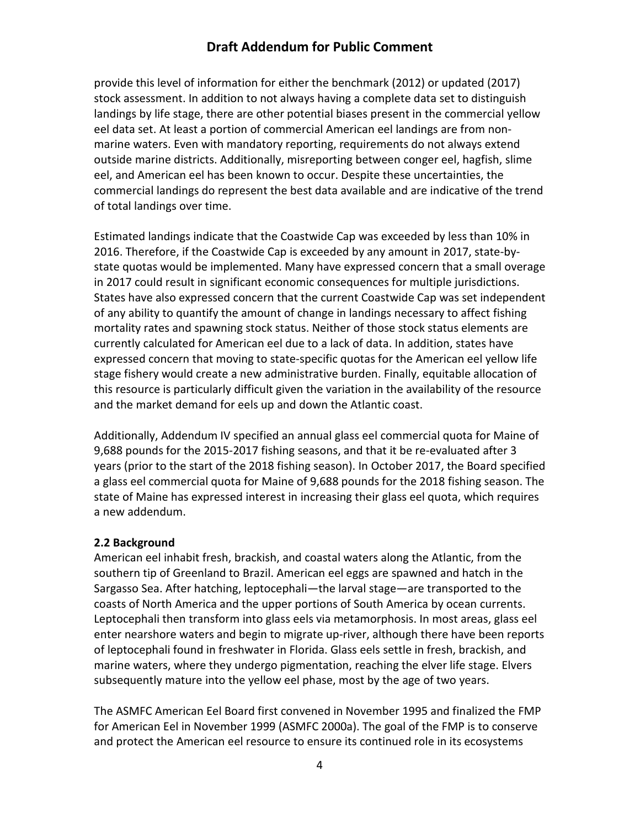provide this level of information for either the benchmark (2012) or updated (2017) stock assessment. In addition to not always having a complete data set to distinguish landings by life stage, there are other potential biases present in the commercial yellow eel data set. At least a portion of commercial American eel landings are from nonmarine waters. Even with mandatory reporting, requirements do not always extend outside marine districts. Additionally, misreporting between conger eel, hagfish, slime eel, and American eel has been known to occur. Despite these uncertainties, the commercial landings do represent the best data available and are indicative of the trend of total landings over time.

Estimated landings indicate that the Coastwide Cap was exceeded by less than 10% in 2016. Therefore, if the Coastwide Cap is exceeded by any amount in 2017, state-bystate quotas would be implemented. Many have expressed concern that a small overage in 2017 could result in significant economic consequences for multiple jurisdictions. States have also expressed concern that the current Coastwide Cap was set independent of any ability to quantify the amount of change in landings necessary to affect fishing mortality rates and spawning stock status. Neither of those stock status elements are currently calculated for American eel due to a lack of data. In addition, states have expressed concern that moving to state-specific quotas for the American eel yellow life stage fishery would create a new administrative burden. Finally, equitable allocation of this resource is particularly difficult given the variation in the availability of the resource and the market demand for eels up and down the Atlantic coast.

Additionally, Addendum IV specified an annual glass eel commercial quota for Maine of 9,688 pounds for the 2015-2017 fishing seasons, and that it be re-evaluated after 3 years (prior to the start of the 2018 fishing season). In October 2017, the Board specified a glass eel commercial quota for Maine of 9,688 pounds for the 2018 fishing season. The state of Maine has expressed interest in increasing their glass eel quota, which requires a new addendum.

#### <span id="page-4-0"></span>**2.2 Background**

American eel inhabit fresh, brackish, and coastal waters along the Atlantic, from the southern tip of Greenland to Brazil. American eel eggs are spawned and hatch in the Sargasso Sea. After hatching, leptocephali—the larval stage—are transported to the coasts of North America and the upper portions of South America by ocean currents. Leptocephali then transform into glass eels via metamorphosis. In most areas, glass eel enter nearshore waters and begin to migrate up-river, although there have been reports of leptocephali found in freshwater in Florida. Glass eels settle in fresh, brackish, and marine waters, where they undergo pigmentation, reaching the elver life stage. Elvers subsequently mature into the yellow eel phase, most by the age of two years.

The ASMFC American Eel Board first convened in November 1995 and finalized the FMP for American Eel in November 1999 (ASMFC 2000a). The goal of the FMP is to conserve and protect the American eel resource to ensure its continued role in its ecosystems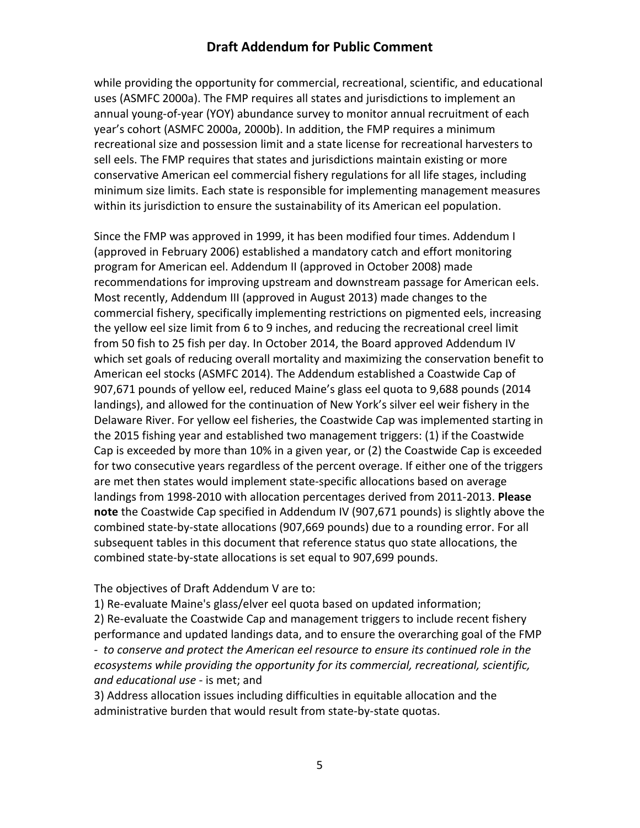while providing the opportunity for commercial, recreational, scientific, and educational uses (ASMFC 2000a). The FMP requires all states and jurisdictions to implement an annual young-of-year (YOY) abundance survey to monitor annual recruitment of each year's cohort (ASMFC 2000a, 2000b). In addition, the FMP requires a minimum recreational size and possession limit and a state license for recreational harvesters to sell eels. The FMP requires that states and jurisdictions maintain existing or more conservative American eel commercial fishery regulations for all life stages, including minimum size limits. Each state is responsible for implementing management measures within its jurisdiction to ensure the sustainability of its American eel population.

Since the FMP was approved in 1999, it has been modified four times. Addendum I (approved in February 2006) established a mandatory catch and effort monitoring program for American eel. Addendum II (approved in October 2008) made recommendations for improving upstream and downstream passage for American eels. Most recently, Addendum III (approved in August 2013) made changes to the commercial fishery, specifically implementing restrictions on pigmented eels, increasing the yellow eel size limit from 6 to 9 inches, and reducing the recreational creel limit from 50 fish to 25 fish per day. In October 2014, the Board approved Addendum IV which set goals of reducing overall mortality and maximizing the conservation benefit to American eel stocks (ASMFC 2014). The Addendum established a Coastwide Cap of 907,671 pounds of yellow eel, reduced Maine's glass eel quota to 9,688 pounds (2014 landings), and allowed for the continuation of New York's silver eel weir fishery in the Delaware River. For yellow eel fisheries, the Coastwide Cap was implemented starting in the 2015 fishing year and established two management triggers: (1) if the Coastwide Cap is exceeded by more than 10% in a given year, or (2) the Coastwide Cap is exceeded for two consecutive years regardless of the percent overage. If either one of the triggers are met then states would implement state-specific allocations based on average landings from 1998-2010 with allocation percentages derived from 2011-2013. **Please note** the Coastwide Cap specified in Addendum IV (907,671 pounds) is slightly above the combined state-by-state allocations (907,669 pounds) due to a rounding error. For all subsequent tables in this document that reference status quo state allocations, the combined state-by-state allocations is set equal to 907,699 pounds.

#### The objectives of Draft Addendum V are to:

1) Re-evaluate Maine's glass/elver eel quota based on updated information; 2) Re-evaluate the Coastwide Cap and management triggers to include recent fishery performance and updated landings data, and to ensure the overarching goal of the FMP *- to conserve and protect the American eel resource to ensure its continued role in the ecosystems while providing the opportunity for its commercial, recreational, scientific, and educational use* - is met; and

3) Address allocation issues including difficulties in equitable allocation and the administrative burden that would result from state-by-state quotas.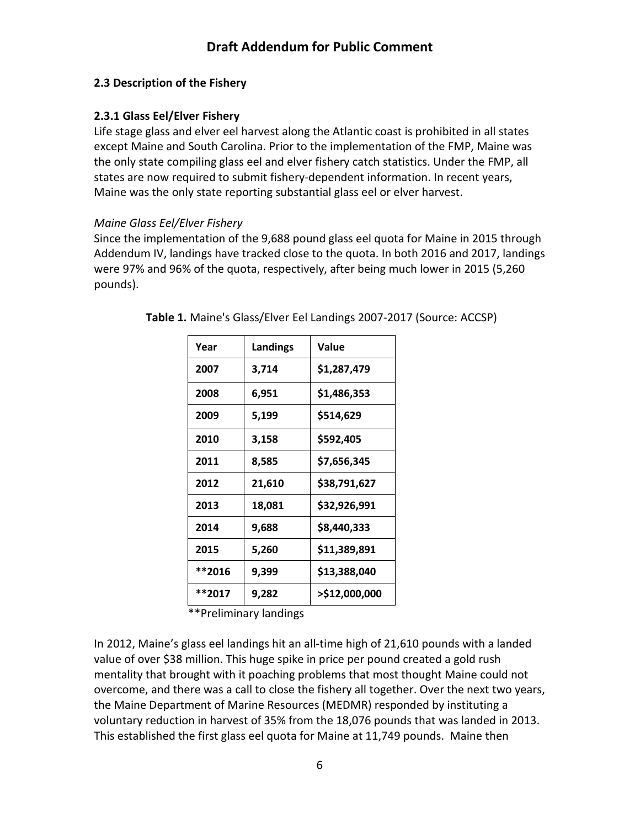### <span id="page-6-0"></span>**2.3 Description of the Fishery**

### <span id="page-6-1"></span>**2.3.1 Glass Eel/Elver Fishery**

Life stage glass and elver eel harvest along the Atlantic coast is prohibited in all states except Maine and South Carolina. Prior to the implementation of the FMP, Maine was the only state compiling glass eel and elver fishery catch statistics. Under the FMP, all states are now required to submit fishery-dependent information. In recent years, Maine was the only state reporting substantial glass eel or elver harvest.

### *Maine Glass Eel/Elver Fishery*

Since the implementation of the 9,688 pound glass eel quota for Maine in 2015 through Addendum IV, landings have tracked close to the quota. In both 2016 and 2017, landings were 97% and 96% of the quota, respectively, after being much lower in 2015 (5,260 pounds).

| Year   | Landings | Value         |
|--------|----------|---------------|
| 2007   | 3,714    | \$1,287,479   |
| 2008   | 6,951    | \$1,486,353   |
| 2009   | 5,199    | \$514,629     |
| 2010   | 3,158    | \$592,405     |
| 2011   | 8,585    | \$7,656,345   |
| 2012   | 21,610   | \$38,791,627  |
| 2013   | 18,081   | \$32,926,991  |
| 2014   | 9,688    | \$8,440,333   |
| 2015   | 5,260    | \$11,389,891  |
| **2016 | 9,399    | \$13,388,040  |
| **2017 | 9,282    | >\$12,000,000 |

**Table 1.** Maine's Glass/Elver Eel Landings 2007-2017 (Source: ACCSP)

\*\*Preliminary landings

In 2012, Maine's glass eel landings hit an all-time high of 21,610 pounds with a landed value of over \$38 million. This huge spike in price per pound created a gold rush mentality that brought with it poaching problems that most thought Maine could not overcome, and there was a call to close the fishery all together. Over the next two years, the Maine Department of Marine Resources (MEDMR) responded by instituting a voluntary reduction in harvest of 35% from the 18,076 pounds that was landed in 2013. This established the first glass eel quota for Maine at 11,749 pounds. Maine then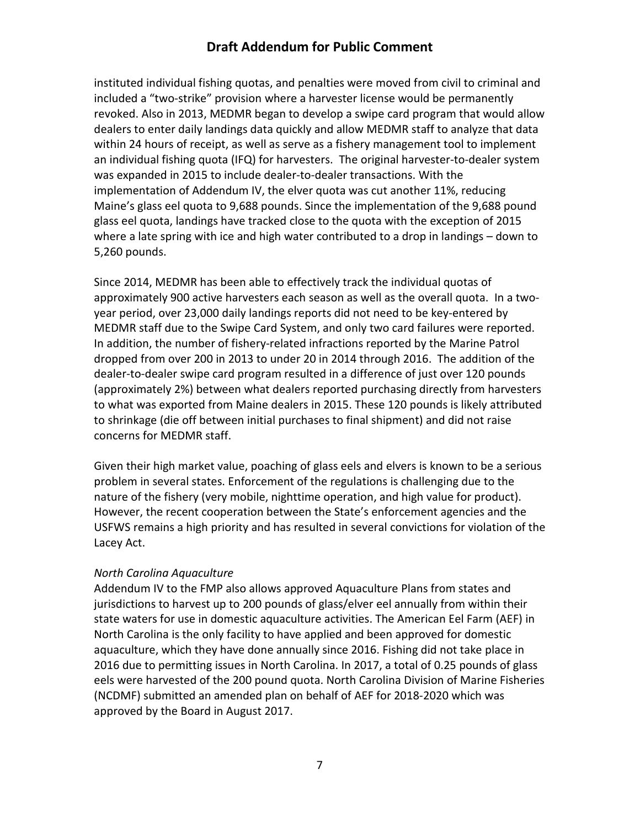instituted individual fishing quotas, and penalties were moved from civil to criminal and included a "two-strike" provision where a harvester license would be permanently revoked. Also in 2013, MEDMR began to develop a swipe card program that would allow dealers to enter daily landings data quickly and allow MEDMR staff to analyze that data within 24 hours of receipt, as well as serve as a fishery management tool to implement an individual fishing quota (IFQ) for harvesters. The original harvester-to-dealer system was expanded in 2015 to include dealer-to-dealer transactions. With the implementation of Addendum IV, the elver quota was cut another 11%, reducing Maine's glass eel quota to 9,688 pounds. Since the implementation of the 9,688 pound glass eel quota, landings have tracked close to the quota with the exception of 2015 where a late spring with ice and high water contributed to a drop in landings – down to 5,260 pounds.

Since 2014, MEDMR has been able to effectively track the individual quotas of approximately 900 active harvesters each season as well as the overall quota. In a twoyear period, over 23,000 daily landings reports did not need to be key-entered by MEDMR staff due to the Swipe Card System, and only two card failures were reported. In addition, the number of fishery-related infractions reported by the Marine Patrol dropped from over 200 in 2013 to under 20 in 2014 through 2016. The addition of the dealer-to-dealer swipe card program resulted in a difference of just over 120 pounds (approximately 2%) between what dealers reported purchasing directly from harvesters to what was exported from Maine dealers in 2015. These 120 pounds is likely attributed to shrinkage (die off between initial purchases to final shipment) and did not raise concerns for MEDMR staff.

Given their high market value, poaching of glass eels and elvers is known to be a serious problem in several states. Enforcement of the regulations is challenging due to the nature of the fishery (very mobile, nighttime operation, and high value for product). However, the recent cooperation between the State's enforcement agencies and the USFWS remains a high priority and has resulted in several convictions for violation of the Lacey Act.

#### *North Carolina Aquaculture*

Addendum IV to the FMP also allows approved Aquaculture Plans from states and jurisdictions to harvest up to 200 pounds of glass/elver eel annually from within their state waters for use in domestic aquaculture activities. The American Eel Farm (AEF) in North Carolina is the only facility to have applied and been approved for domestic aquaculture, which they have done annually since 2016. Fishing did not take place in 2016 due to permitting issues in North Carolina. In 2017, a total of 0.25 pounds of glass eels were harvested of the 200 pound quota. North Carolina Division of Marine Fisheries (NCDMF) submitted an amended plan on behalf of AEF for 2018-2020 which was approved by the Board in August 2017.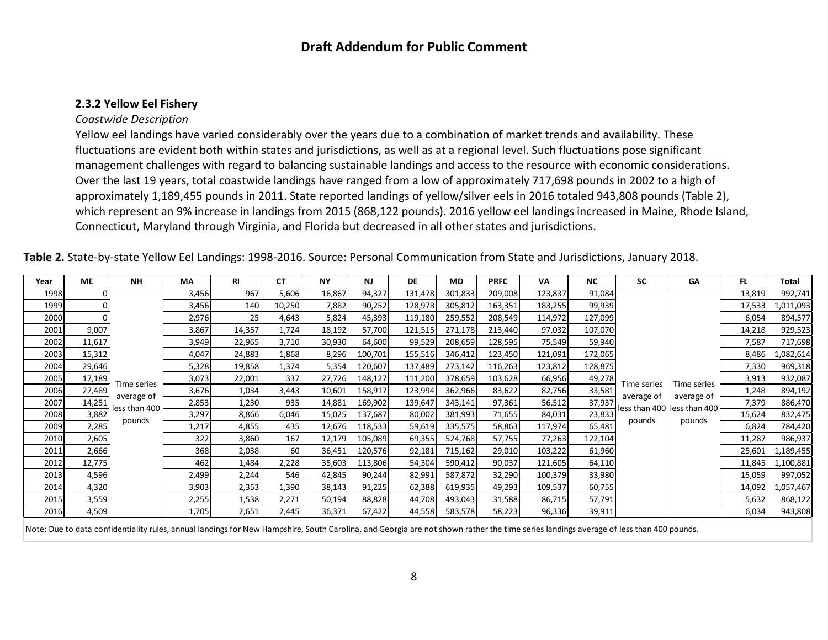#### **2.3.2 Yellow Eel Fishery**

#### *Coastwide Description*

Yellow eel landings have varied considerably over the years due to a combination of market trends and availability. These fluctuations are evident both within states and jurisdictions, as well as at a regional level. Such fluctuations pose significant management challenges with regard to balancing sustainable landings and access to the resource with economic considerations. Over the last 19 years, total coastwide landings have ranged from a low of approximately 717,698 pounds in 2002 to a high of approximately 1,189,455 pounds in 2011. State reported landings of yellow/silver eels in 2016 totaled 943,808 pounds (Table 2), which represent an 9% increase in landings from 2015 (868,122 pounds). 2016 yellow eel landings increased in Maine, Rhode Island, Connecticut, Maryland through Virginia, and Florida but decreased in all other states and jurisdictions.

<span id="page-8-0"></span>

| Year | <b>ME</b> | <b>NH</b>     | <b>MA</b> | RI     | СT     | <b>NY</b> | <b>NJ</b> | <b>DE</b> | MD.     | <b>PRFC</b> | VA      | <b>NC</b> | <b>SC</b>   | GA                          | FL.    | Total     |
|------|-----------|---------------|-----------|--------|--------|-----------|-----------|-----------|---------|-------------|---------|-----------|-------------|-----------------------------|--------|-----------|
| 1998 | O         |               | 3,456     | 967    | 5,606  | 16,867    | 94,327    | 131,478   | 301,833 | 209,008     | 123,837 | 91,084    |             |                             | 13,819 | 992,741   |
| 1999 |           |               | 3,456     | 140    | 10,250 | 7,882     | 90,252    | 128,978   | 305,812 | 163,351     | 183,255 | 99,939    |             |                             | 17,533 | 1,011,093 |
| 2000 |           |               | 2,976     | 25     | 4,643  | 5,824     | 45,393    | 119,180   | 259,552 | 208,549     | 114,972 | 127,099   |             |                             | 6,054  | 894,577   |
| 2001 | 9,007     |               | 3,867     | 14,357 | 1,724  | 18,192    | 57,700    | 121,515   | 271,178 | 213,440     | 97,032  | 107,070   |             |                             | 14,218 | 929,523   |
| 2002 | 11,617    |               | 3,949     | 22,965 | 3,710  | 30,930    | 64,600    | 99,529    | 208,659 | 128,595     | 75,549  | 59,940    |             |                             | 7,587  | 717,698   |
| 2003 | 15,312    |               | 4,047     | 24,883 | 1,868  | 8,296     | 100,701   | 155,516   | 346,412 | 123,450     | 121,091 | 172,065   |             |                             | 8,486  | l,082,614 |
| 2004 | 29,646    |               | 5,328     | 19,858 | 1,374  | 5,354     | 120,607   | 137,489   | 273,142 | 116,263     | 123,812 | 128,875   |             |                             | 7,330  | 969,318   |
| 2005 | 17,189    | Time series   | 3,073     | 22,001 | 337    | 27,726    | 148,127   | 111,200   | 378,659 | 103,628     | 66,956  | 49,278    | Time series | Time series                 | 3,913  | 932,087   |
| 2006 | 27,489    | average of    | 3,676     | 1,034  | 3,443  | 10,601    | 158,917   | 123,994   | 362,966 | 83,622      | 82,756  | 33,581    | average of  | average of                  | 1,248  | 894,192   |
| 2007 | 14,251    | less than 400 | 2,853     | 1,230  | 935    | 14,881    | 169,902   | 139,647   | 343,141 | 97,361      | 56,512  | 37,937    |             | less than 400 less than 400 | 7,379  | 886,470   |
| 2008 | 3,882     | pounds        | 3,297     | 8,866  | 6,046  | 15,025    | 137,687   | 80,002    | 381,993 | 71,655      | 84,031  | 23,833    |             |                             | 15,624 | 832,475   |
| 2009 | 2,285     |               | 1,217     | 4,855  | 435    | 12,676    | 118,533   | 59,619    | 335,575 | 58,863      | 117,974 | 65,481    | pounds      | pounds                      | 6,824  | 784,420   |
| 2010 | 2,605     |               | 322       | 3,860  | 167    | 12,179    | 105,089   | 69,355    | 524,768 | 57,755      | 77,263  | 122,104   |             |                             | 11,287 | 986,937   |
| 2011 | 2,666     |               | 368       | 2,038  | 60     | 36,451    | 120,576   | 92,181    | 715,162 | 29,010      | 103,222 | 61,960    |             |                             | 25,601 | l,189,455 |
| 2012 | 12,775    |               | 462       | 1,484  | 2,228  | 35,603    | 113,806   | 54,304    | 590,412 | 90,037      | 121,605 | 64,110    |             |                             | 11,845 | 1,100,881 |
| 2013 | 4,596     |               | 2,499     | 2,244  | 546    | 42,845    | 90,244    | 82,991    | 587,872 | 32,290      | 100,379 | 33,980    |             |                             | 15,059 | 997,052   |
| 2014 | 4,320     |               | 3,903     | 2,353  | 1,390  | 38,143    | 91,225    | 62,388    | 619,935 | 49,293      | 109,537 | 60,755    |             |                             | 14,092 | 1,057,467 |
| 2015 | 3,559     |               | 2,255     | 1,538  | 2,271  | 50,194    | 88,828    | 44,708    | 493,043 | 31,588      | 86,715  | 57,791    |             |                             | 5,632  | 868,122   |
| 2016 | 4,509     |               | 1,705     | 2,651  | 2,445  | 36,371    | 67,422    | 44,558    | 583,578 | 58,223      | 96,336  | 39,911    |             |                             | 6,034  | 943,808   |

**Table 2.** State-by-state Yellow Eel Landings: 1998-2016. Source: Personal Communication from State and Jurisdictions, January 2018.

Note: Due to data confidentiality rules, annual landings for New Hampshire, South Carolina, and Georgia are not shown rather the time series landings average of less than 400 pounds.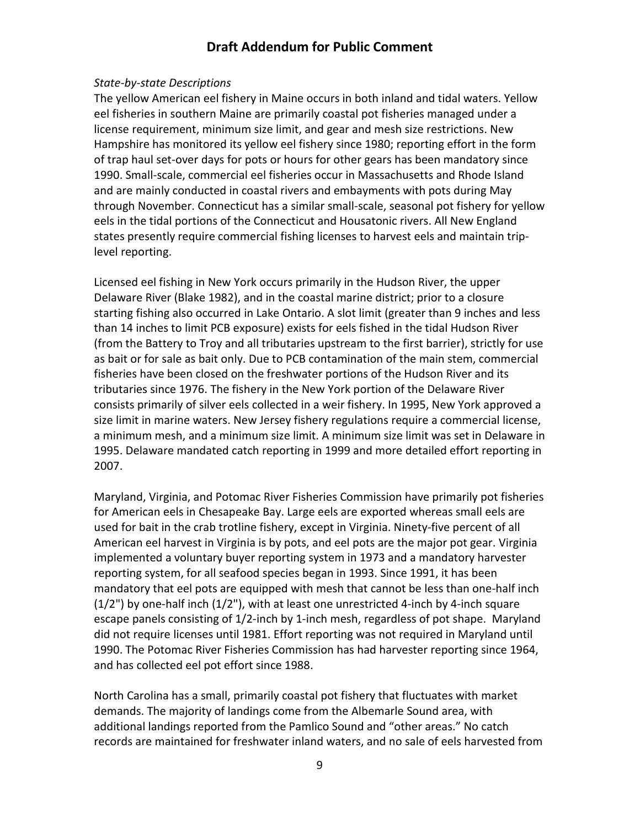#### *State-by-state Descriptions*

The yellow American eel fishery in Maine occurs in both inland and tidal waters. Yellow eel fisheries in southern Maine are primarily coastal pot fisheries managed under a license requirement, minimum size limit, and gear and mesh size restrictions. New Hampshire has monitored its yellow eel fishery since 1980; reporting effort in the form of trap haul set-over days for pots or hours for other gears has been mandatory since 1990. Small-scale, commercial eel fisheries occur in Massachusetts and Rhode Island and are mainly conducted in coastal rivers and embayments with pots during May through November. Connecticut has a similar small-scale, seasonal pot fishery for yellow eels in the tidal portions of the Connecticut and Housatonic rivers. All New England states presently require commercial fishing licenses to harvest eels and maintain triplevel reporting.

Licensed eel fishing in New York occurs primarily in the Hudson River, the upper Delaware River (Blake 1982), and in the coastal marine district; prior to a closure starting fishing also occurred in Lake Ontario. A slot limit (greater than 9 inches and less than 14 inches to limit PCB exposure) exists for eels fished in the tidal Hudson River (from the Battery to Troy and all tributaries upstream to the first barrier), strictly for use as bait or for sale as bait only. Due to PCB contamination of the main stem, commercial fisheries have been closed on the freshwater portions of the Hudson River and its tributaries since 1976. The fishery in the New York portion of the Delaware River consists primarily of silver eels collected in a weir fishery. In 1995, New York approved a size limit in marine waters. New Jersey fishery regulations require a commercial license, a minimum mesh, and a minimum size limit. A minimum size limit was set in Delaware in 1995. Delaware mandated catch reporting in 1999 and more detailed effort reporting in 2007.

Maryland, Virginia, and Potomac River Fisheries Commission have primarily pot fisheries for American eels in Chesapeake Bay. Large eels are exported whereas small eels are used for bait in the crab trotline fishery, except in Virginia. Ninety-five percent of all American eel harvest in Virginia is by pots, and eel pots are the major pot gear. Virginia implemented a voluntary buyer reporting system in 1973 and a mandatory harvester reporting system, for all seafood species began in 1993. Since 1991, it has been mandatory that eel pots are equipped with mesh that cannot be less than one-half inch (1/2") by one-half inch (1/2"), with at least one unrestricted 4-inch by 4-inch square escape panels consisting of 1/2-inch by 1-inch mesh, regardless of pot shape. Maryland did not require licenses until 1981. Effort reporting was not required in Maryland until 1990. The Potomac River Fisheries Commission has had harvester reporting since 1964, and has collected eel pot effort since 1988.

North Carolina has a small, primarily coastal pot fishery that fluctuates with market demands. The majority of landings come from the Albemarle Sound area, with additional landings reported from the Pamlico Sound and "other areas." No catch records are maintained for freshwater inland waters, and no sale of eels harvested from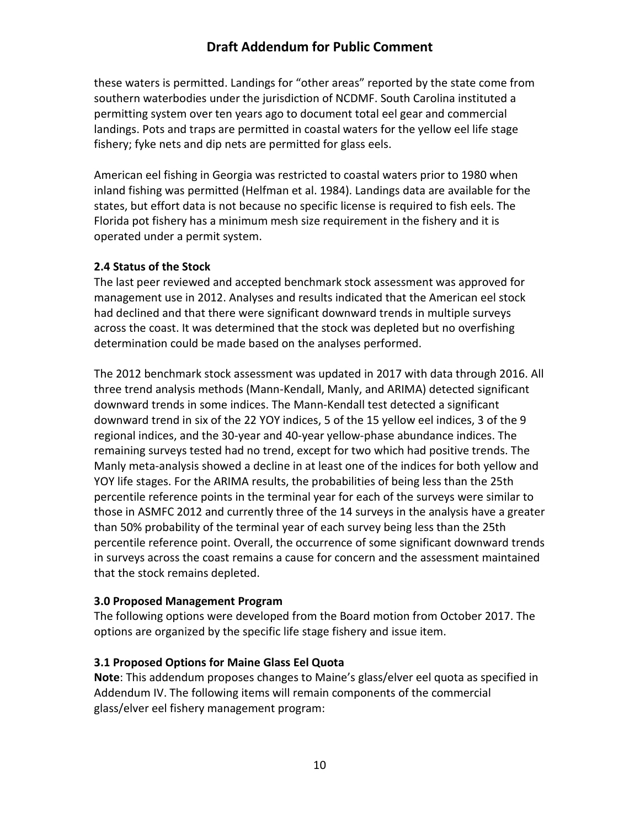these waters is permitted. Landings for "other areas" reported by the state come from southern waterbodies under the jurisdiction of NCDMF. South Carolina instituted a permitting system over ten years ago to document total eel gear and commercial landings. Pots and traps are permitted in coastal waters for the yellow eel life stage fishery; fyke nets and dip nets are permitted for glass eels.

American eel fishing in Georgia was restricted to coastal waters prior to 1980 when inland fishing was permitted (Helfman et al. 1984). Landings data are available for the states, but effort data is not because no specific license is required to fish eels. The Florida pot fishery has a minimum mesh size requirement in the fishery and it is operated under a permit system.

#### <span id="page-10-0"></span>**2.4 Status of the Stock**

The last peer reviewed and accepted benchmark stock assessment was approved for management use in 2012. Analyses and results indicated that the American eel stock had declined and that there were significant downward trends in multiple surveys across the coast. It was determined that the stock was depleted but no overfishing determination could be made based on the analyses performed.

The 2012 benchmark stock assessment was updated in 2017 with data through 2016. All three trend analysis methods (Mann-Kendall, Manly, and ARIMA) detected significant downward trends in some indices. The Mann-Kendall test detected a significant downward trend in six of the 22 YOY indices, 5 of the 15 yellow eel indices, 3 of the 9 regional indices, and the 30-year and 40-year yellow-phase abundance indices. The remaining surveys tested had no trend, except for two which had positive trends. The Manly meta-analysis showed a decline in at least one of the indices for both yellow and YOY life stages. For the ARIMA results, the probabilities of being less than the 25th percentile reference points in the terminal year for each of the surveys were similar to those in ASMFC 2012 and currently three of the 14 surveys in the analysis have a greater than 50% probability of the terminal year of each survey being less than the 25th percentile reference point. Overall, the occurrence of some significant downward trends in surveys across the coast remains a cause for concern and the assessment maintained that the stock remains depleted.

### <span id="page-10-1"></span>**3.0 Proposed Management Program**

The following options were developed from the Board motion from October 2017. The options are organized by the specific life stage fishery and issue item.

### <span id="page-10-2"></span>**3.1 Proposed Options for Maine Glass Eel Quota**

**Note**: This addendum proposes changes to Maine's glass/elver eel quota as specified in Addendum IV. The following items will remain components of the commercial glass/elver eel fishery management program: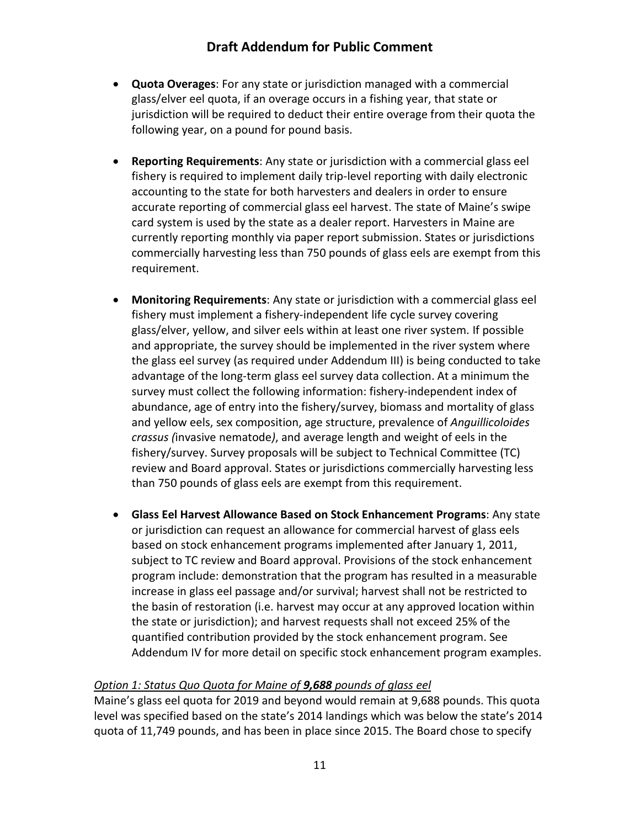- **Quota Overages**: For any state or jurisdiction managed with a commercial glass/elver eel quota, if an overage occurs in a fishing year, that state or jurisdiction will be required to deduct their entire overage from their quota the following year, on a pound for pound basis.
- **Reporting Requirements**: Any state or jurisdiction with a commercial glass eel fishery is required to implement daily trip-level reporting with daily electronic accounting to the state for both harvesters and dealers in order to ensure accurate reporting of commercial glass eel harvest. The state of Maine's swipe card system is used by the state as a dealer report. Harvesters in Maine are currently reporting monthly via paper report submission. States or jurisdictions commercially harvesting less than 750 pounds of glass eels are exempt from this requirement.
- **Monitoring Requirements**: Any state or jurisdiction with a commercial glass eel fishery must implement a fishery-independent life cycle survey covering glass/elver, yellow, and silver eels within at least one river system. If possible and appropriate, the survey should be implemented in the river system where the glass eel survey (as required under Addendum III) is being conducted to take advantage of the long-term glass eel survey data collection. At a minimum the survey must collect the following information: fishery-independent index of abundance, age of entry into the fishery/survey, biomass and mortality of glass and yellow eels, sex composition, age structure, prevalence of *Anguillicoloides crassus (*invasive nematode*)*, and average length and weight of eels in the fishery/survey. Survey proposals will be subject to Technical Committee (TC) review and Board approval. States or jurisdictions commercially harvesting less than 750 pounds of glass eels are exempt from this requirement.
- **Glass Eel Harvest Allowance Based on Stock Enhancement Programs**: Any state or jurisdiction can request an allowance for commercial harvest of glass eels based on stock enhancement programs implemented after January 1, 2011, subject to TC review and Board approval. Provisions of the stock enhancement program include: demonstration that the program has resulted in a measurable increase in glass eel passage and/or survival; harvest shall not be restricted to the basin of restoration (i.e. harvest may occur at any approved location within the state or jurisdiction); and harvest requests shall not exceed 25% of the quantified contribution provided by the stock enhancement program. See Addendum IV for more detail on specific stock enhancement program examples.

### *Option 1: Status Quo Quota for Maine of 9,688 pounds of glass eel*

Maine's glass eel quota for 2019 and beyond would remain at 9,688 pounds. This quota level was specified based on the state's 2014 landings which was below the state's 2014 quota of 11,749 pounds, and has been in place since 2015. The Board chose to specify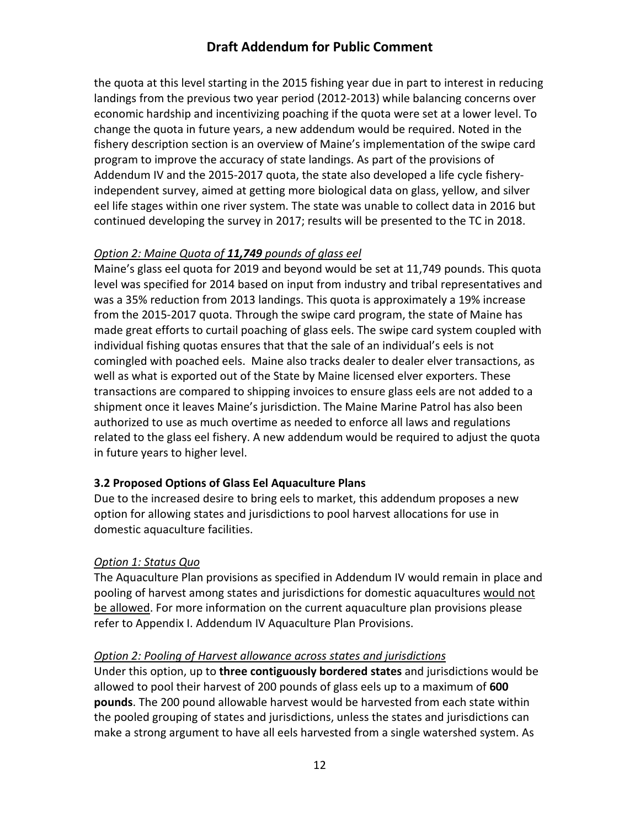the quota at this level starting in the 2015 fishing year due in part to interest in reducing landings from the previous two year period (2012-2013) while balancing concerns over economic hardship and incentivizing poaching if the quota were set at a lower level. To change the quota in future years, a new addendum would be required. Noted in the fishery description section is an overview of Maine's implementation of the swipe card program to improve the accuracy of state landings. As part of the provisions of Addendum IV and the 2015-2017 quota, the state also developed a life cycle fisheryindependent survey, aimed at getting more biological data on glass, yellow, and silver eel life stages within one river system. The state was unable to collect data in 2016 but continued developing the survey in 2017; results will be presented to the TC in 2018.

### *Option 2: Maine Quota of 11,749 pounds of glass eel*

Maine's glass eel quota for 2019 and beyond would be set at 11,749 pounds. This quota level was specified for 2014 based on input from industry and tribal representatives and was a 35% reduction from 2013 landings. This quota is approximately a 19% increase from the 2015-2017 quota. Through the swipe card program, the state of Maine has made great efforts to curtail poaching of glass eels. The swipe card system coupled with individual fishing quotas ensures that that the sale of an individual's eels is not comingled with poached eels. Maine also tracks dealer to dealer elver transactions, as well as what is exported out of the State by Maine licensed elver exporters. These transactions are compared to shipping invoices to ensure glass eels are not added to a shipment once it leaves Maine's jurisdiction. The Maine Marine Patrol has also been authorized to use as much overtime as needed to enforce all laws and regulations related to the glass eel fishery. A new addendum would be required to adjust the quota in future years to higher level.

### <span id="page-12-0"></span>**3.2 Proposed Options of Glass Eel Aquaculture Plans**

Due to the increased desire to bring eels to market, this addendum proposes a new option for allowing states and jurisdictions to pool harvest allocations for use in domestic aquaculture facilities.

#### *Option 1: Status Quo*

The Aquaculture Plan provisions as specified in Addendum IV would remain in place and pooling of harvest among states and jurisdictions for domestic aquacultures would not be allowed. For more information on the current aquaculture plan provisions please refer to Appendix I. Addendum IV Aquaculture Plan Provisions.

#### *Option 2: Pooling of Harvest allowance across states and jurisdictions*

Under this option, up to **three contiguously bordered states** and jurisdictions would be allowed to pool their harvest of 200 pounds of glass eels up to a maximum of **600 pounds**. The 200 pound allowable harvest would be harvested from each state within the pooled grouping of states and jurisdictions, unless the states and jurisdictions can make a strong argument to have all eels harvested from a single watershed system. As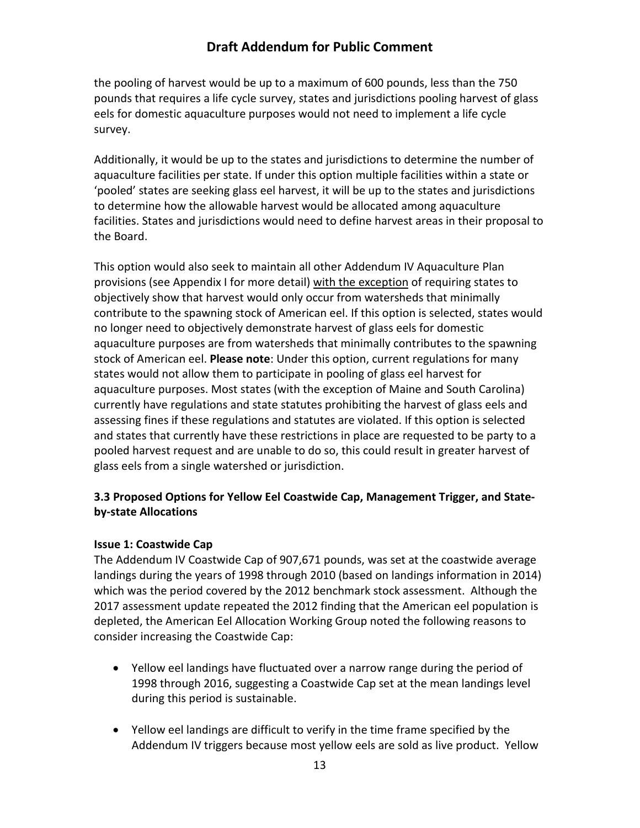the pooling of harvest would be up to a maximum of 600 pounds, less than the 750 pounds that requires a life cycle survey, states and jurisdictions pooling harvest of glass eels for domestic aquaculture purposes would not need to implement a life cycle survey.

Additionally, it would be up to the states and jurisdictions to determine the number of aquaculture facilities per state. If under this option multiple facilities within a state or 'pooled' states are seeking glass eel harvest, it will be up to the states and jurisdictions to determine how the allowable harvest would be allocated among aquaculture facilities. States and jurisdictions would need to define harvest areas in their proposal to the Board.

This option would also seek to maintain all other Addendum IV Aquaculture Plan provisions (see Appendix I for more detail) with the exception of requiring states to objectively show that harvest would only occur from watersheds that minimally contribute to the spawning stock of American eel. If this option is selected, states would no longer need to objectively demonstrate harvest of glass eels for domestic aquaculture purposes are from watersheds that minimally contributes to the spawning stock of American eel. **Please note**: Under this option, current regulations for many states would not allow them to participate in pooling of glass eel harvest for aquaculture purposes. Most states (with the exception of Maine and South Carolina) currently have regulations and state statutes prohibiting the harvest of glass eels and assessing fines if these regulations and statutes are violated. If this option is selected and states that currently have these restrictions in place are requested to be party to a pooled harvest request and are unable to do so, this could result in greater harvest of glass eels from a single watershed or jurisdiction.

### <span id="page-13-0"></span>**3.3 Proposed Options for Yellow Eel Coastwide Cap, Management Trigger, and Stateby-state Allocations**

#### <span id="page-13-1"></span>**Issue 1: Coastwide Cap**

The Addendum IV Coastwide Cap of 907,671 pounds, was set at the coastwide average landings during the years of 1998 through 2010 (based on landings information in 2014) which was the period covered by the 2012 benchmark stock assessment. Although the 2017 assessment update repeated the 2012 finding that the American eel population is depleted, the American Eel Allocation Working Group noted the following reasons to consider increasing the Coastwide Cap:

- Yellow eel landings have fluctuated over a narrow range during the period of 1998 through 2016, suggesting a Coastwide Cap set at the mean landings level during this period is sustainable.
- Yellow eel landings are difficult to verify in the time frame specified by the Addendum IV triggers because most yellow eels are sold as live product. Yellow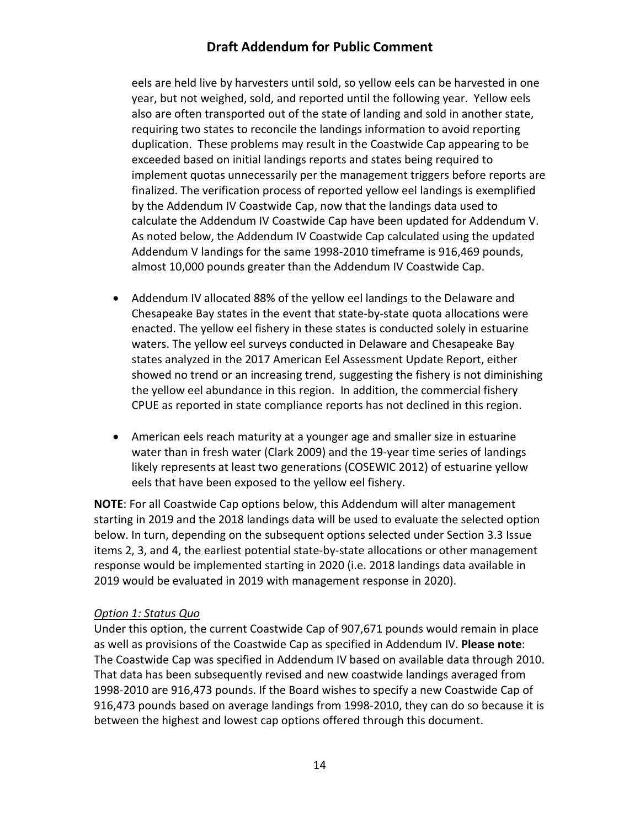eels are held live by harvesters until sold, so yellow eels can be harvested in one year, but not weighed, sold, and reported until the following year. Yellow eels also are often transported out of the state of landing and sold in another state, requiring two states to reconcile the landings information to avoid reporting duplication. These problems may result in the Coastwide Cap appearing to be exceeded based on initial landings reports and states being required to implement quotas unnecessarily per the management triggers before reports are finalized. The verification process of reported yellow eel landings is exemplified by the Addendum IV Coastwide Cap, now that the landings data used to calculate the Addendum IV Coastwide Cap have been updated for Addendum V. As noted below, the Addendum IV Coastwide Cap calculated using the updated Addendum V landings for the same 1998-2010 timeframe is 916,469 pounds, almost 10,000 pounds greater than the Addendum IV Coastwide Cap.

- Addendum IV allocated 88% of the yellow eel landings to the Delaware and Chesapeake Bay states in the event that state-by-state quota allocations were enacted. The yellow eel fishery in these states is conducted solely in estuarine waters. The yellow eel surveys conducted in Delaware and Chesapeake Bay states analyzed in the 2017 American Eel Assessment Update Report, either showed no trend or an increasing trend, suggesting the fishery is not diminishing the yellow eel abundance in this region. In addition, the commercial fishery CPUE as reported in state compliance reports has not declined in this region.
- American eels reach maturity at a younger age and smaller size in estuarine water than in fresh water (Clark 2009) and the 19-year time series of landings likely represents at least two generations (COSEWIC 2012) of estuarine yellow eels that have been exposed to the yellow eel fishery.

**NOTE**: For all Coastwide Cap options below, this Addendum will alter management starting in 2019 and the 2018 landings data will be used to evaluate the selected option below. In turn, depending on the subsequent options selected under Section 3.3 Issue items 2, 3, and 4, the earliest potential state-by-state allocations or other management response would be implemented starting in 2020 (i.e. 2018 landings data available in 2019 would be evaluated in 2019 with management response in 2020).

#### *Option 1: Status Quo*

Under this option, the current Coastwide Cap of 907,671 pounds would remain in place as well as provisions of the Coastwide Cap as specified in Addendum IV. **Please note**: The Coastwide Cap was specified in Addendum IV based on available data through 2010. That data has been subsequently revised and new coastwide landings averaged from 1998-2010 are 916,473 pounds. If the Board wishes to specify a new Coastwide Cap of 916,473 pounds based on average landings from 1998-2010, they can do so because it is between the highest and lowest cap options offered through this document.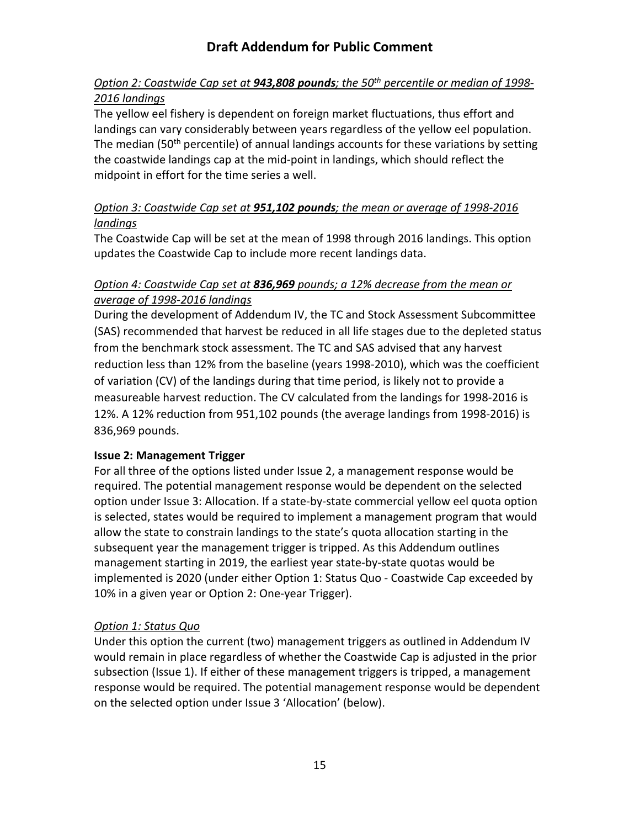### *Option 2: Coastwide Cap set at 943,808 pounds; the 50th percentile or median of 1998- 2016 landings*

The yellow eel fishery is dependent on foreign market fluctuations, thus effort and landings can vary considerably between years regardless of the yellow eel population. The median (50<sup>th</sup> percentile) of annual landings accounts for these variations by setting the coastwide landings cap at the mid-point in landings, which should reflect the midpoint in effort for the time series a well.

### *Option 3: Coastwide Cap set at 951,102 pounds; the mean or average of 1998-2016 landings*

The Coastwide Cap will be set at the mean of 1998 through 2016 landings. This option updates the Coastwide Cap to include more recent landings data.

### *Option 4: Coastwide Cap set at 836,969 pounds; a 12% decrease from the mean or average of 1998-2016 landings*

During the development of Addendum IV, the TC and Stock Assessment Subcommittee (SAS) recommended that harvest be reduced in all life stages due to the depleted status from the benchmark stock assessment. The TC and SAS advised that any harvest reduction less than 12% from the baseline (years 1998-2010), which was the coefficient of variation (CV) of the landings during that time period, is likely not to provide a measureable harvest reduction. The CV calculated from the landings for 1998-2016 is 12%. A 12% reduction from 951,102 pounds (the average landings from 1998-2016) is 836,969 pounds.

### <span id="page-15-0"></span>**Issue 2: Management Trigger**

For all three of the options listed under Issue 2, a management response would be required. The potential management response would be dependent on the selected option under Issue 3: Allocation. If a state-by-state commercial yellow eel quota option is selected, states would be required to implement a management program that would allow the state to constrain landings to the state's quota allocation starting in the subsequent year the management trigger is tripped. As this Addendum outlines management starting in 2019, the earliest year state-by-state quotas would be implemented is 2020 (under either Option 1: Status Quo - Coastwide Cap exceeded by 10% in a given year or Option 2: One-year Trigger).

### *Option 1: Status Quo*

Under this option the current (two) management triggers as outlined in Addendum IV would remain in place regardless of whether the Coastwide Cap is adjusted in the prior subsection (Issue 1). If either of these management triggers is tripped, a management response would be required. The potential management response would be dependent on the selected option under Issue 3 'Allocation' (below).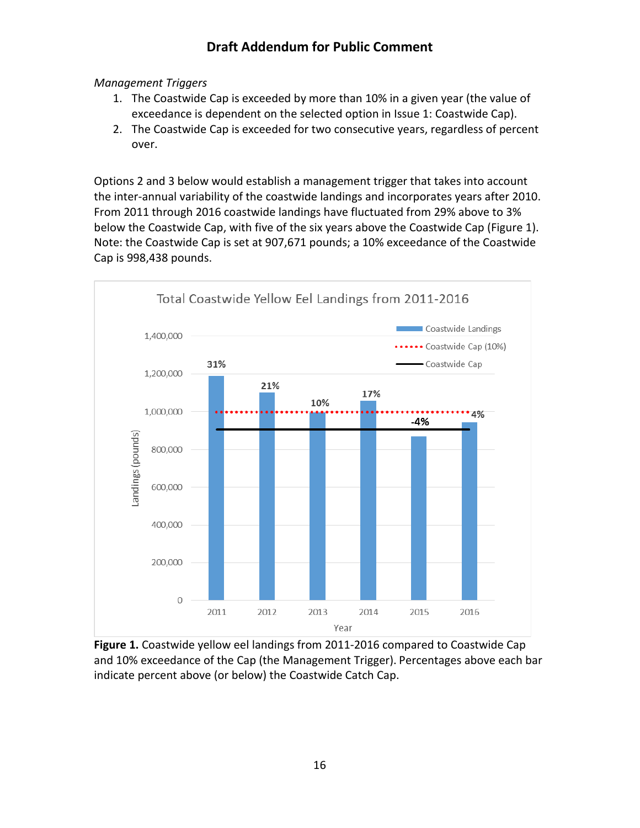#### *Management Triggers*

- 1. The Coastwide Cap is exceeded by more than 10% in a given year (the value of exceedance is dependent on the selected option in Issue 1: Coastwide Cap).
- 2. The Coastwide Cap is exceeded for two consecutive years, regardless of percent over.

Options 2 and 3 below would establish a management trigger that takes into account the inter-annual variability of the coastwide landings and incorporates years after 2010. From 2011 through 2016 coastwide landings have fluctuated from 29% above to 3% below the Coastwide Cap, with five of the six years above the Coastwide Cap (Figure 1). Note: the Coastwide Cap is set at 907,671 pounds; a 10% exceedance of the Coastwide Cap is 998,438 pounds.



**Figure 1.** Coastwide yellow eel landings from 2011-2016 compared to Coastwide Cap and 10% exceedance of the Cap (the Management Trigger). Percentages above each bar indicate percent above (or below) the Coastwide Catch Cap.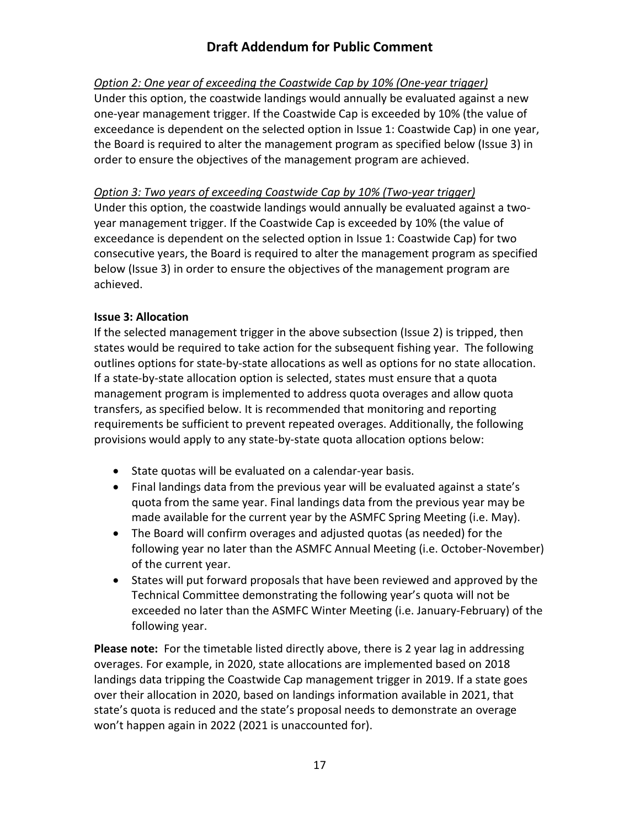### *Option 2: One year of exceeding the Coastwide Cap by 10% (One-year trigger)*

Under this option, the coastwide landings would annually be evaluated against a new one-year management trigger. If the Coastwide Cap is exceeded by 10% (the value of exceedance is dependent on the selected option in Issue 1: Coastwide Cap) in one year, the Board is required to alter the management program as specified below (Issue 3) in order to ensure the objectives of the management program are achieved.

### *Option 3: Two years of exceeding Coastwide Cap by 10% (Two-year trigger)*

Under this option, the coastwide landings would annually be evaluated against a twoyear management trigger. If the Coastwide Cap is exceeded by 10% (the value of exceedance is dependent on the selected option in Issue 1: Coastwide Cap) for two consecutive years, the Board is required to alter the management program as specified below (Issue 3) in order to ensure the objectives of the management program are achieved.

### <span id="page-17-0"></span>**Issue 3: Allocation**

If the selected management trigger in the above subsection (Issue 2) is tripped, then states would be required to take action for the subsequent fishing year. The following outlines options for state-by-state allocations as well as options for no state allocation. If a state-by-state allocation option is selected, states must ensure that a quota management program is implemented to address quota overages and allow quota transfers, as specified below. It is recommended that monitoring and reporting requirements be sufficient to prevent repeated overages. Additionally, the following provisions would apply to any state-by-state quota allocation options below:

- State quotas will be evaluated on a calendar-year basis.
- Final landings data from the previous year will be evaluated against a state's quota from the same year. Final landings data from the previous year may be made available for the current year by the ASMFC Spring Meeting (i.e. May).
- The Board will confirm overages and adjusted quotas (as needed) for the following year no later than the ASMFC Annual Meeting (i.e. October-November) of the current year.
- States will put forward proposals that have been reviewed and approved by the Technical Committee demonstrating the following year's quota will not be exceeded no later than the ASMFC Winter Meeting (i.e. January-February) of the following year.

**Please note:** For the timetable listed directly above, there is 2 year lag in addressing overages. For example, in 2020, state allocations are implemented based on 2018 landings data tripping the Coastwide Cap management trigger in 2019. If a state goes over their allocation in 2020, based on landings information available in 2021, that state's quota is reduced and the state's proposal needs to demonstrate an overage won't happen again in 2022 (2021 is unaccounted for).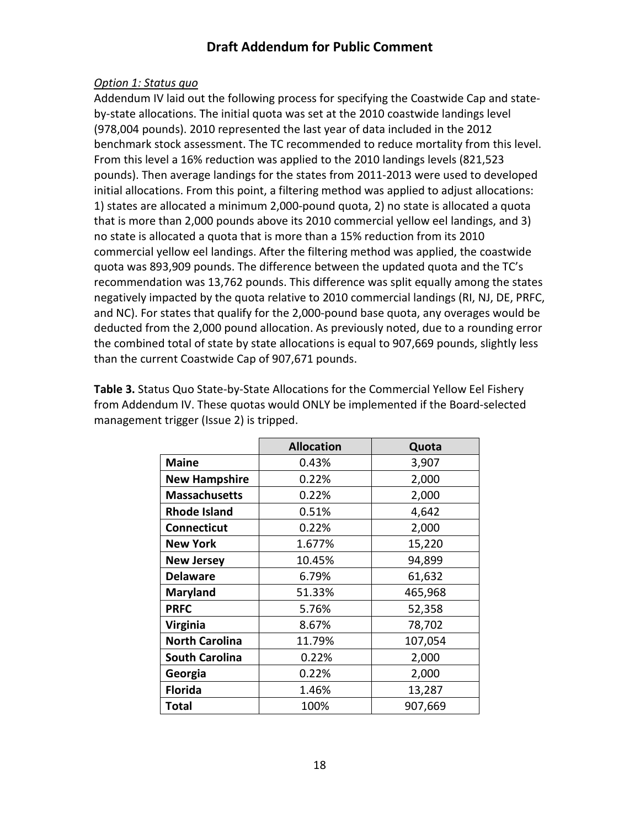#### *Option 1: Status quo*

Addendum IV laid out the following process for specifying the Coastwide Cap and stateby-state allocations. The initial quota was set at the 2010 coastwide landings level (978,004 pounds). 2010 represented the last year of data included in the 2012 benchmark stock assessment. The TC recommended to reduce mortality from this level. From this level a 16% reduction was applied to the 2010 landings levels (821,523 pounds). Then average landings for the states from 2011-2013 were used to developed initial allocations. From this point, a filtering method was applied to adjust allocations: 1) states are allocated a minimum 2,000-pound quota, 2) no state is allocated a quota that is more than 2,000 pounds above its 2010 commercial yellow eel landings, and 3) no state is allocated a quota that is more than a 15% reduction from its 2010 commercial yellow eel landings. After the filtering method was applied, the coastwide quota was 893,909 pounds. The difference between the updated quota and the TC's recommendation was 13,762 pounds. This difference was split equally among the states negatively impacted by the quota relative to 2010 commercial landings (RI, NJ, DE, PRFC, and NC). For states that qualify for the 2,000-pound base quota, any overages would be deducted from the 2,000 pound allocation. As previously noted, due to a rounding error the combined total of state by state allocations is equal to 907,669 pounds, slightly less than the current Coastwide Cap of 907,671 pounds.

**Table 3.** Status Quo State-by-State Allocations for the Commercial Yellow Eel Fishery from Addendum IV. These quotas would ONLY be implemented if the Board-selected management trigger (Issue 2) is tripped.

|                       | <b>Allocation</b> | Quota   |
|-----------------------|-------------------|---------|
| <b>Maine</b>          | 0.43%             | 3,907   |
| <b>New Hampshire</b>  | 0.22%             | 2,000   |
| <b>Massachusetts</b>  | 0.22%             | 2,000   |
| <b>Rhode Island</b>   | 0.51%             | 4,642   |
| <b>Connecticut</b>    | 0.22%             | 2,000   |
| <b>New York</b>       | 1.677%            | 15,220  |
| <b>New Jersey</b>     | 10.45%            | 94,899  |
| <b>Delaware</b>       | 6.79%             | 61,632  |
| <b>Maryland</b>       | 51.33%            | 465,968 |
| <b>PRFC</b>           | 5.76%             | 52,358  |
| Virginia              | 8.67%             | 78,702  |
| <b>North Carolina</b> | 11.79%            | 107,054 |
| <b>South Carolina</b> | 0.22%             | 2,000   |
| Georgia               | 0.22%             | 2,000   |
| <b>Florida</b>        | 1.46%             | 13,287  |
| <b>Total</b>          | 100%              | 907,669 |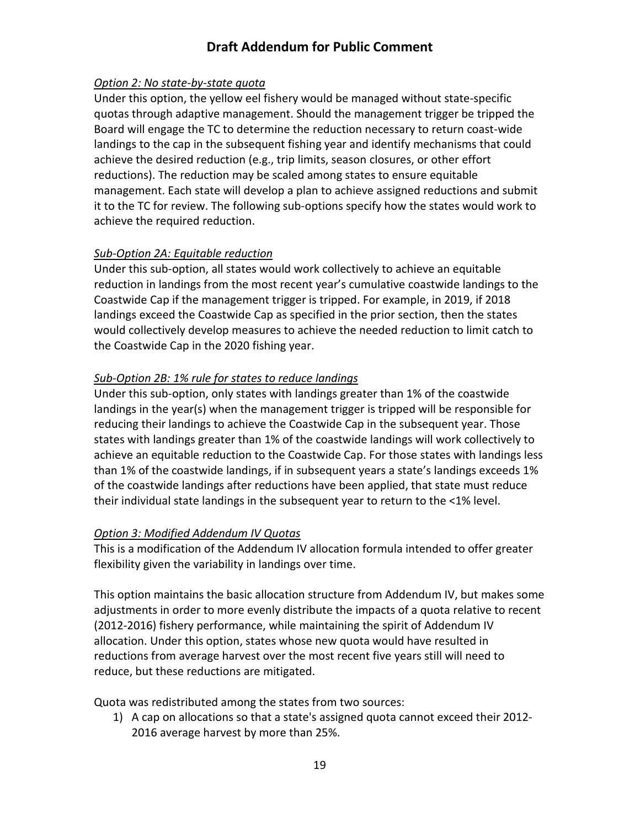### *Option 2: No state-by-state quota*

Under this option, the yellow eel fishery would be managed without state-specific quotas through adaptive management. Should the management trigger be tripped the Board will engage the TC to determine the reduction necessary to return coast-wide landings to the cap in the subsequent fishing year and identify mechanisms that could achieve the desired reduction (e.g., trip limits, season closures, or other effort reductions). The reduction may be scaled among states to ensure equitable management. Each state will develop a plan to achieve assigned reductions and submit it to the TC for review. The following sub-options specify how the states would work to achieve the required reduction.

### *Sub-Option 2A: Equitable reduction*

Under this sub-option, all states would work collectively to achieve an equitable reduction in landings from the most recent year's cumulative coastwide landings to the Coastwide Cap if the management trigger is tripped. For example, in 2019, if 2018 landings exceed the Coastwide Cap as specified in the prior section, then the states would collectively develop measures to achieve the needed reduction to limit catch to the Coastwide Cap in the 2020 fishing year.

#### *Sub-Option 2B: 1% rule for states to reduce landings*

Under this sub-option, only states with landings greater than 1% of the coastwide landings in the year(s) when the management trigger is tripped will be responsible for reducing their landings to achieve the Coastwide Cap in the subsequent year. Those states with landings greater than 1% of the coastwide landings will work collectively to achieve an equitable reduction to the Coastwide Cap. For those states with landings less than 1% of the coastwide landings, if in subsequent years a state's landings exceeds 1% of the coastwide landings after reductions have been applied, that state must reduce their individual state landings in the subsequent year to return to the <1% level.

### *Option 3: Modified Addendum IV Quotas*

This is a modification of the Addendum IV allocation formula intended to offer greater flexibility given the variability in landings over time.

This option maintains the basic allocation structure from Addendum IV, but makes some adjustments in order to more evenly distribute the impacts of a quota relative to recent (2012-2016) fishery performance, while maintaining the spirit of Addendum IV allocation. Under this option, states whose new quota would have resulted in reductions from average harvest over the most recent five years still will need to reduce, but these reductions are mitigated.

Quota was redistributed among the states from two sources:

1) A cap on allocations so that a state's assigned quota cannot exceed their 2012- 2016 average harvest by more than 25%.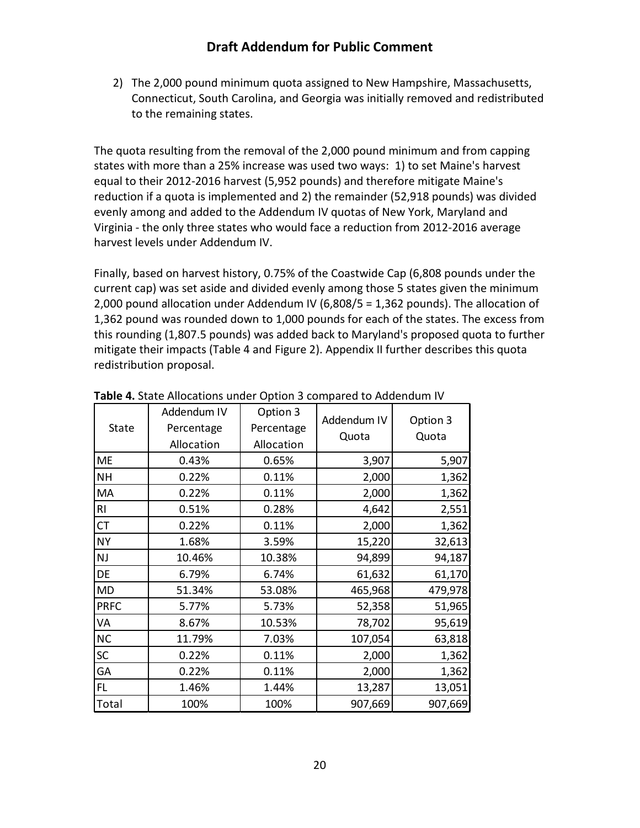2) The 2,000 pound minimum quota assigned to New Hampshire, Massachusetts, Connecticut, South Carolina, and Georgia was initially removed and redistributed to the remaining states.

The quota resulting from the removal of the 2,000 pound minimum and from capping states with more than a 25% increase was used two ways: 1) to set Maine's harvest equal to their 2012-2016 harvest (5,952 pounds) and therefore mitigate Maine's reduction if a quota is implemented and 2) the remainder (52,918 pounds) was divided evenly among and added to the Addendum IV quotas of New York, Maryland and Virginia - the only three states who would face a reduction from 2012-2016 average harvest levels under Addendum IV.

Finally, based on harvest history, 0.75% of the Coastwide Cap (6,808 pounds under the current cap) was set aside and divided evenly among those 5 states given the minimum 2,000 pound allocation under Addendum IV (6,808/5 = 1,362 pounds). The allocation of 1,362 pound was rounded down to 1,000 pounds for each of the states. The excess from this rounding (1,807.5 pounds) was added back to Maryland's proposed quota to further mitigate their impacts (Table 4 and Figure 2). Appendix II further describes this quota redistribution proposal.

|             | Addendum IV | Option 3   | Addendum IV | Option 3 |  |
|-------------|-------------|------------|-------------|----------|--|
| State       | Percentage  | Percentage |             |          |  |
|             | Allocation  | Allocation | Quota       | Quota    |  |
| <b>ME</b>   | 0.43%       | 0.65%      | 3,907       | 5,907    |  |
| <b>NH</b>   | 0.22%       | 0.11%      | 2,000       | 1,362    |  |
| MA          | 0.22%       | 0.11%      | 2,000       | 1,362    |  |
| RI          | 0.51%       | 0.28%      | 4,642       | 2,551    |  |
| <b>CT</b>   | 0.22%       | 0.11%      | 2,000       | 1,362    |  |
| <b>NY</b>   | 1.68%       | 3.59%      | 15,220      | 32,613   |  |
| NJ          | 10.46%      | 10.38%     | 94,899      | 94,187   |  |
| DE          | 6.79%       | 6.74%      | 61,632      | 61,170   |  |
| <b>MD</b>   | 51.34%      | 53.08%     | 465,968     | 479,978  |  |
| <b>PRFC</b> | 5.77%       | 5.73%      | 52,358      | 51,965   |  |
| VA          | 8.67%       | 10.53%     | 78,702      | 95,619   |  |
| <b>NC</b>   | 11.79%      | 7.03%      | 107,054     | 63,818   |  |
| <b>SC</b>   | 0.22%       | 0.11%      | 2,000       | 1,362    |  |
| GA          | 0.22%       | 0.11%      | 2,000       | 1,362    |  |
| FL          | 1.46%       | 1.44%      | 13,287      | 13,051   |  |
| Total       | 100%        | 100%       | 907,669     | 907,669  |  |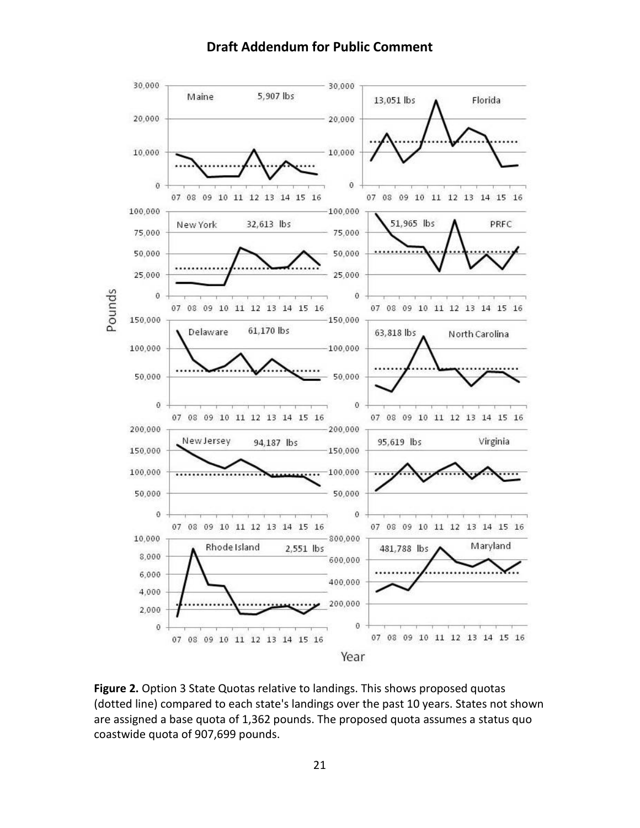

**Figure 2.** Option 3 State Quotas relative to landings. This shows proposed quotas (dotted line) compared to each state's landings over the past 10 years. States not shown are assigned a base quota of 1,362 pounds. The proposed quota assumes a status quo coastwide quota of 907,699 pounds.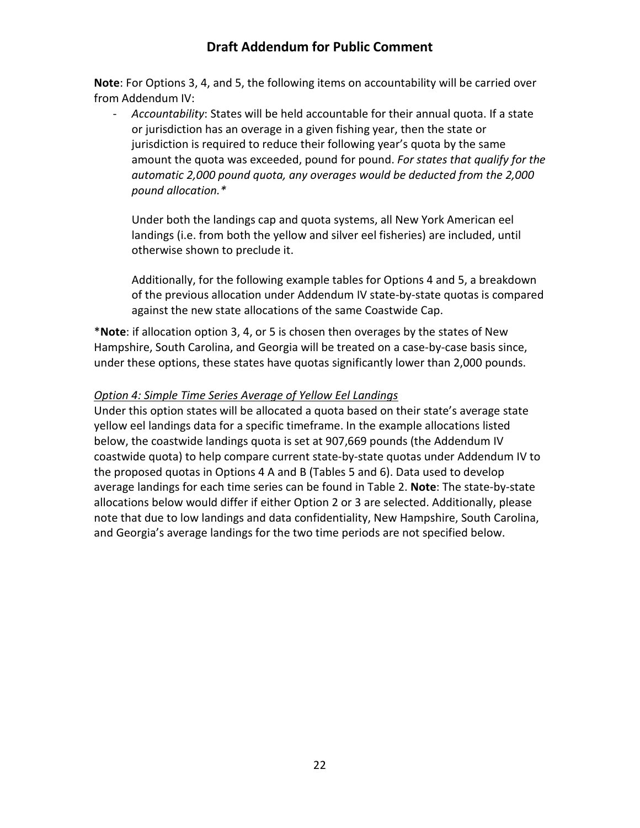**Note**: For Options 3, 4, and 5, the following items on accountability will be carried over from Addendum IV:

- *Accountability*: States will be held accountable for their annual quota. If a state or jurisdiction has an overage in a given fishing year, then the state or jurisdiction is required to reduce their following year's quota by the same amount the quota was exceeded, pound for pound. *For states that qualify for the automatic 2,000 pound quota, any overages would be deducted from the 2,000 pound allocation.\**

Under both the landings cap and quota systems, all New York American eel landings (i.e. from both the yellow and silver eel fisheries) are included, until otherwise shown to preclude it.

Additionally, for the following example tables for Options 4 and 5, a breakdown of the previous allocation under Addendum IV state-by-state quotas is compared against the new state allocations of the same Coastwide Cap.

\***Note**: if allocation option 3, 4, or 5 is chosen then overages by the states of New Hampshire, South Carolina, and Georgia will be treated on a case-by-case basis since, under these options, these states have quotas significantly lower than 2,000 pounds.

#### *Option 4: Simple Time Series Average of Yellow Eel Landings*

Under this option states will be allocated a quota based on their state's average state yellow eel landings data for a specific timeframe. In the example allocations listed below, the coastwide landings quota is set at 907,669 pounds (the Addendum IV coastwide quota) to help compare current state-by-state quotas under Addendum IV to the proposed quotas in Options 4 A and B (Tables 5 and 6). Data used to develop average landings for each time series can be found in Table 2. **Note**: The state-by-state allocations below would differ if either Option 2 or 3 are selected. Additionally, please note that due to low landings and data confidentiality, New Hampshire, South Carolina, and Georgia's average landings for the two time periods are not specified below.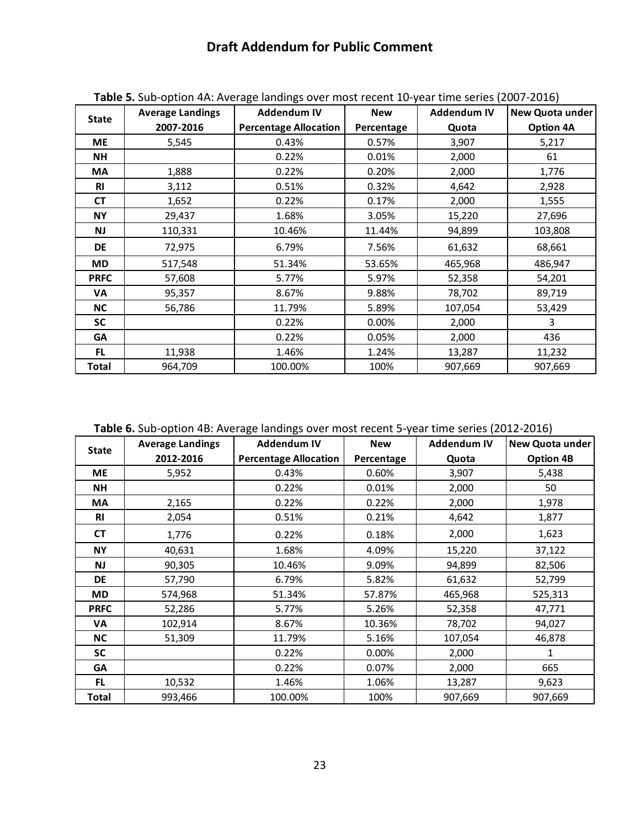|              | <b>Average Landings</b> | <b>Addendum IV</b>           | <b>New</b> | Addendum IV | New Quota under  |
|--------------|-------------------------|------------------------------|------------|-------------|------------------|
| <b>State</b> | 2007-2016               | <b>Percentage Allocation</b> | Percentage | Quota       | <b>Option 4A</b> |
| <b>ME</b>    | 5,545                   | 0.43%                        | 0.57%      | 3,907       | 5,217            |
| NΗ           |                         | 0.22%                        | 0.01%      | 2,000       | 61               |
| МA           | 1,888                   | 0.22%                        | 0.20%      | 2,000       | 1,776            |
| <b>RI</b>    | 3,112                   | 0.51%                        | 0.32%      | 4,642       | 2,928            |
| <b>CT</b>    | 1,652                   | 0.22%                        | 0.17%      | 2,000       | 1,555            |
| <b>NY</b>    | 29,437                  | 1.68%                        | 3.05%      | 15,220      | 27,696           |
| <b>NJ</b>    | 110,331                 | 10.46%                       | 11.44%     | 94,899      | 103,808          |
| <b>DE</b>    | 72,975                  | 6.79%                        | 7.56%      | 61,632      | 68,661           |
| <b>MD</b>    | 517,548                 | 51.34%                       | 53.65%     | 465,968     | 486,947          |
| <b>PRFC</b>  | 57,608                  | 5.77%                        | 5.97%      | 52,358      | 54,201           |
| VA           | 95,357                  | 8.67%                        | 9.88%      | 78,702      | 89,719           |
| <b>NC</b>    | 56,786                  | 11.79%                       | 5.89%      | 107,054     | 53,429           |
| <b>SC</b>    |                         | 0.22%                        | 0.00%      | 2,000       | 3                |
| GA           |                         | 0.22%                        | 0.05%      | 2,000       | 436              |
| FL.          | 11,938                  | 1.46%                        | 1.24%      | 13,287      | 11,232           |
| Total        | 964,709                 | 100.00%                      | 100%       | 907,669     | 907,669          |

**Table 5.** Sub-option 4A: Average landings over most recent 10-year time series (2007-2016)

**Table 6.** Sub-option 4B: Average landings over most recent 5-year time series (2012-2016)

| <b>State</b> | <b>Average Landings</b> | <b>Addendum IV</b>           | <b>New</b> | <b>Addendum IV</b> | New Quota under  |  |  |  |
|--------------|-------------------------|------------------------------|------------|--------------------|------------------|--|--|--|
|              | 2012-2016               | <b>Percentage Allocation</b> | Percentage | Quota              | <b>Option 4B</b> |  |  |  |
| ME           | 5,952                   | 0.43%                        | 0.60%      | 3,907              | 5,438            |  |  |  |
| NH           |                         | 0.22%                        | 0.01%      | 2,000              | 50               |  |  |  |
| МA           | 2,165                   | 0.22%                        | 0.22%      | 2,000              | 1,978            |  |  |  |
| <b>RI</b>    | 2,054                   | 0.51%                        | 0.21%      | 4,642              | 1,877            |  |  |  |
| <b>CT</b>    | 1,776                   | 0.22%                        | 0.18%      | 2,000              | 1,623            |  |  |  |
| <b>NY</b>    | 40,631                  | 1.68%                        | 4.09%      | 15,220             | 37,122           |  |  |  |
| NJ           | 90,305                  | 10.46%                       | 9.09%      | 94,899             | 82,506           |  |  |  |
| <b>DE</b>    | 57,790                  | 6.79%                        | 5.82%      | 61,632             | 52,799           |  |  |  |
| MD           | 574,968                 | 51.34%                       | 57.87%     | 465,968            | 525,313          |  |  |  |
| <b>PRFC</b>  | 52,286                  | 5.77%                        | 5.26%      | 52,358             | 47,771           |  |  |  |
| VA           | 102,914                 | 8.67%                        | 10.36%     | 78,702             | 94,027           |  |  |  |
| <b>NC</b>    | 51,309                  | 11.79%                       | 5.16%      | 107,054            | 46,878           |  |  |  |
| <b>SC</b>    |                         | 0.22%                        | 0.00%      | 2,000              | 1                |  |  |  |
| GA           |                         | 0.22%                        | 0.07%      | 2,000              | 665              |  |  |  |
| FL.          | 10,532                  | 1.46%                        | 1.06%      | 13,287             | 9,623            |  |  |  |
| <b>Total</b> | 993,466                 | 100.00%                      | 100%       | 907,669            | 907,669          |  |  |  |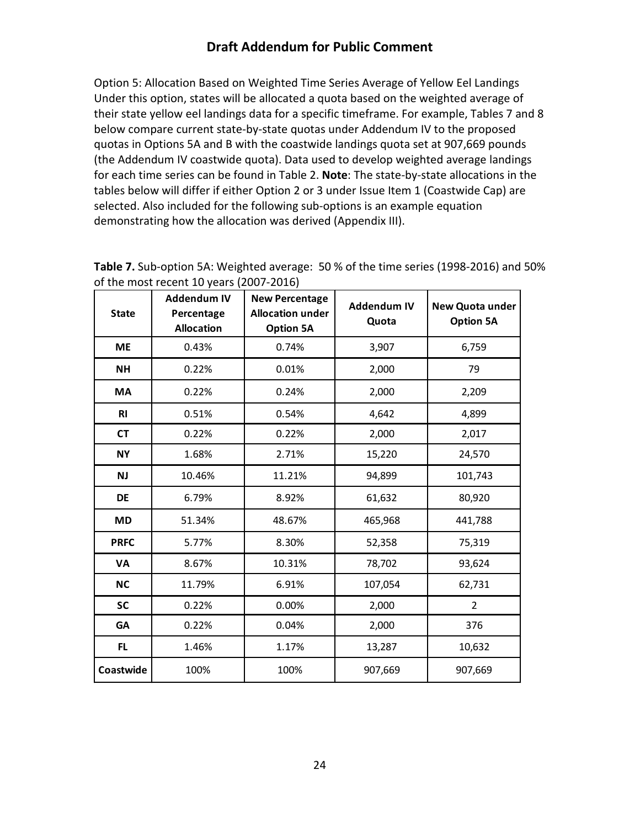Option 5: Allocation Based on Weighted Time Series Average of Yellow Eel Landings Under this option, states will be allocated a quota based on the weighted average of their state yellow eel landings data for a specific timeframe. For example, Tables 7 and 8 below compare current state-by-state quotas under Addendum IV to the proposed quotas in Options 5A and B with the coastwide landings quota set at 907,669 pounds (the Addendum IV coastwide quota). Data used to develop weighted average landings for each time series can be found in Table 2. **Note**: The state-by-state allocations in the tables below will differ if either Option 2 or 3 under Issue Item 1 (Coastwide Cap) are selected. Also included for the following sub-options is an example equation demonstrating how the allocation was derived (Appendix III).

| <b>State</b>   | <b>Addendum IV</b><br>Percentage<br><b>Allocation</b> | <b>New Percentage</b><br><b>Allocation under</b><br><b>Option 5A</b> | <b>Addendum IV</b><br>Quota | New Quota under<br><b>Option 5A</b> |
|----------------|-------------------------------------------------------|----------------------------------------------------------------------|-----------------------------|-------------------------------------|
| <b>ME</b>      | 0.43%                                                 | 0.74%                                                                | 3,907                       | 6,759                               |
| <b>NH</b>      | 0.22%                                                 | 0.01%                                                                | 2,000                       | 79                                  |
| MA             | 0.22%                                                 | 0.24%                                                                | 2,000                       | 2,209                               |
| R <sub>l</sub> | 0.51%                                                 | 0.54%                                                                | 4,642                       | 4,899                               |
| <b>CT</b>      | 0.22%                                                 | 0.22%                                                                | 2,000                       | 2,017                               |
| <b>NY</b>      | 1.68%                                                 | 2.71%                                                                | 15,220                      | 24,570                              |
| <b>NJ</b>      | 10.46%                                                | 11.21%                                                               | 94,899                      | 101,743                             |
| <b>DE</b>      | 6.79%                                                 | 8.92%                                                                | 61,632                      | 80,920                              |
| <b>MD</b>      | 51.34%                                                | 48.67%                                                               | 465,968                     | 441,788                             |
| <b>PRFC</b>    | 5.77%                                                 | 8.30%                                                                | 52,358                      | 75,319                              |
| <b>VA</b>      | 8.67%                                                 | 10.31%                                                               | 78,702                      | 93,624                              |
| <b>NC</b>      | 11.79%                                                | 6.91%                                                                | 107,054                     | 62,731                              |
| <b>SC</b>      | 0.22%                                                 | 0.00%                                                                | 2,000                       | $\overline{2}$                      |
| <b>GA</b>      | 0.22%                                                 | 0.04%                                                                | 2,000                       | 376                                 |
| FL.            | 1.46%                                                 | 1.17%                                                                | 13,287                      | 10,632                              |
| Coastwide      | 100%                                                  | 100%                                                                 | 907,669                     | 907,669                             |

**Table 7.** Sub-option 5A: Weighted average: 50 % of the time series (1998-2016) and 50% of the most recent 10 years (2007-2016)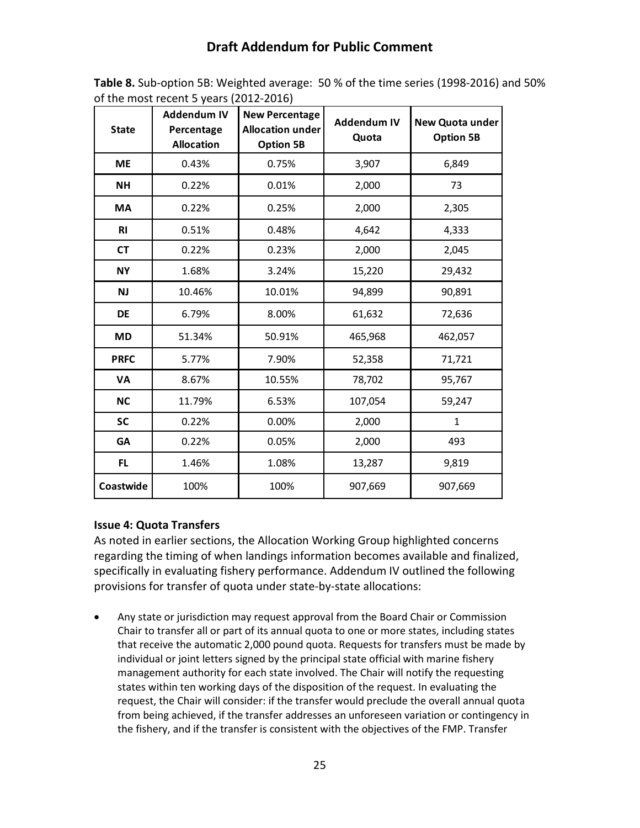| <b>State</b> | <b>Addendum IV</b><br>Percentage<br><b>Allocation</b> | <b>New Percentage</b><br><b>Allocation under</b><br><b>Option 5B</b> | <b>Addendum IV</b><br>Quota | New Quota under<br><b>Option 5B</b> |
|--------------|-------------------------------------------------------|----------------------------------------------------------------------|-----------------------------|-------------------------------------|
| <b>ME</b>    | 0.43%                                                 | 0.75%                                                                | 3,907                       | 6,849                               |
| <b>NH</b>    | 0.22%                                                 | 0.01%                                                                | 2,000                       | 73                                  |
| <b>MA</b>    | 0.22%                                                 | 0.25%                                                                | 2,000                       | 2,305                               |
| <b>RI</b>    | 0.51%                                                 | 0.48%                                                                | 4,642                       | 4,333                               |
| <b>CT</b>    | 0.22%                                                 | 0.23%                                                                | 2,000                       | 2,045                               |
| <b>NY</b>    | 1.68%                                                 | 3.24%                                                                | 15,220                      | 29,432                              |
| <b>NJ</b>    | 10.46%                                                | 10.01%                                                               | 94,899                      | 90,891                              |
| DE           | 6.79%                                                 | 8.00%                                                                | 61,632                      | 72,636                              |
| MD           | 51.34%                                                | 50.91%                                                               | 465,968                     | 462,057                             |
| <b>PRFC</b>  | 5.77%                                                 | 7.90%                                                                | 52,358                      | 71,721                              |
| VA           | 8.67%                                                 | 10.55%                                                               | 78,702                      | 95,767                              |
| <b>NC</b>    | 11.79%                                                | 6.53%                                                                | 107,054                     | 59,247                              |
| <b>SC</b>    | 0.22%                                                 | 0.00%                                                                | 2,000                       | $\mathbf{1}$                        |
| <b>GA</b>    | 0.22%                                                 | 0.05%                                                                | 2,000                       | 493                                 |
| FL.          | 1.46%                                                 | 1.08%                                                                | 13,287                      | 9,819                               |
| Coastwide    | 100%                                                  | 100%                                                                 | 907,669                     | 907,669                             |

**Table 8.** Sub-option 5B: Weighted average: 50 % of the time series (1998-2016) and 50% of the most recent 5 years (2012-2016)

### <span id="page-25-0"></span>**Issue 4: Quota Transfers**

As noted in earlier sections, the Allocation Working Group highlighted concerns regarding the timing of when landings information becomes available and finalized, specifically in evaluating fishery performance. Addendum IV outlined the following provisions for transfer of quota under state-by-state allocations:

• Any state or jurisdiction may request approval from the Board Chair or Commission Chair to transfer all or part of its annual quota to one or more states, including states that receive the automatic 2,000 pound quota. Requests for transfers must be made by individual or joint letters signed by the principal state official with marine fishery management authority for each state involved. The Chair will notify the requesting states within ten working days of the disposition of the request. In evaluating the request, the Chair will consider: if the transfer would preclude the overall annual quota from being achieved, if the transfer addresses an unforeseen variation or contingency in the fishery, and if the transfer is consistent with the objectives of the FMP. Transfer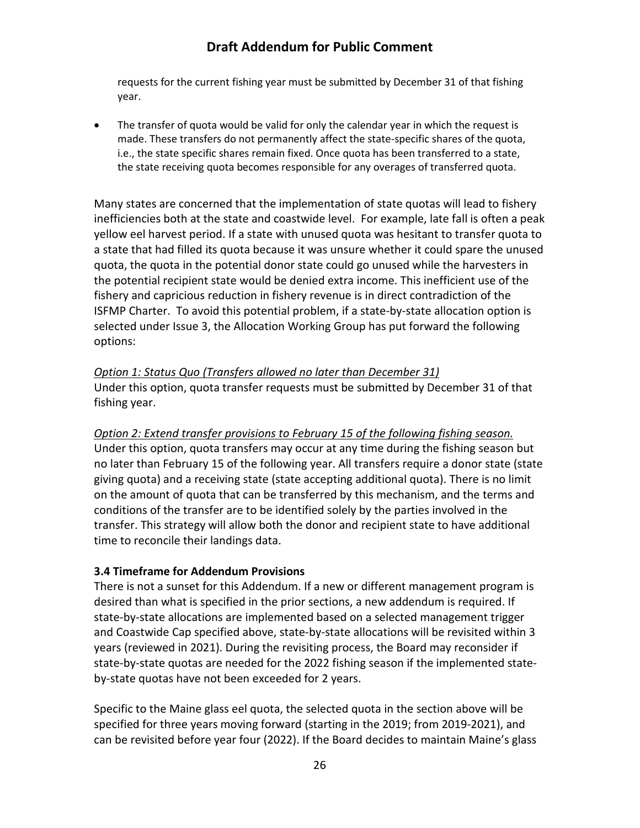requests for the current fishing year must be submitted by December 31 of that fishing year.

• The transfer of quota would be valid for only the calendar year in which the request is made. These transfers do not permanently affect the state-specific shares of the quota, i.e., the state specific shares remain fixed. Once quota has been transferred to a state, the state receiving quota becomes responsible for any overages of transferred quota.

Many states are concerned that the implementation of state quotas will lead to fishery inefficiencies both at the state and coastwide level. For example, late fall is often a peak yellow eel harvest period. If a state with unused quota was hesitant to transfer quota to a state that had filled its quota because it was unsure whether it could spare the unused quota, the quota in the potential donor state could go unused while the harvesters in the potential recipient state would be denied extra income. This inefficient use of the fishery and capricious reduction in fishery revenue is in direct contradiction of the ISFMP Charter. To avoid this potential problem, if a state-by-state allocation option is selected under Issue 3, the Allocation Working Group has put forward the following options:

*Option 1: Status Quo (Transfers allowed no later than December 31)* Under this option, quota transfer requests must be submitted by December 31 of that fishing year.

*Option 2: Extend transfer provisions to February 15 of the following fishing season.*  Under this option, quota transfers may occur at any time during the fishing season but no later than February 15 of the following year. All transfers require a donor state (state giving quota) and a receiving state (state accepting additional quota). There is no limit on the amount of quota that can be transferred by this mechanism, and the terms and conditions of the transfer are to be identified solely by the parties involved in the transfer. This strategy will allow both the donor and recipient state to have additional time to reconcile their landings data.

### <span id="page-26-0"></span>**3.4 Timeframe for Addendum Provisions**

There is not a sunset for this Addendum. If a new or different management program is desired than what is specified in the prior sections, a new addendum is required. If state-by-state allocations are implemented based on a selected management trigger and Coastwide Cap specified above, state-by-state allocations will be revisited within 3 years (reviewed in 2021). During the revisiting process, the Board may reconsider if state-by-state quotas are needed for the 2022 fishing season if the implemented stateby-state quotas have not been exceeded for 2 years.

Specific to the Maine glass eel quota, the selected quota in the section above will be specified for three years moving forward (starting in the 2019; from 2019-2021), and can be revisited before year four (2022). If the Board decides to maintain Maine's glass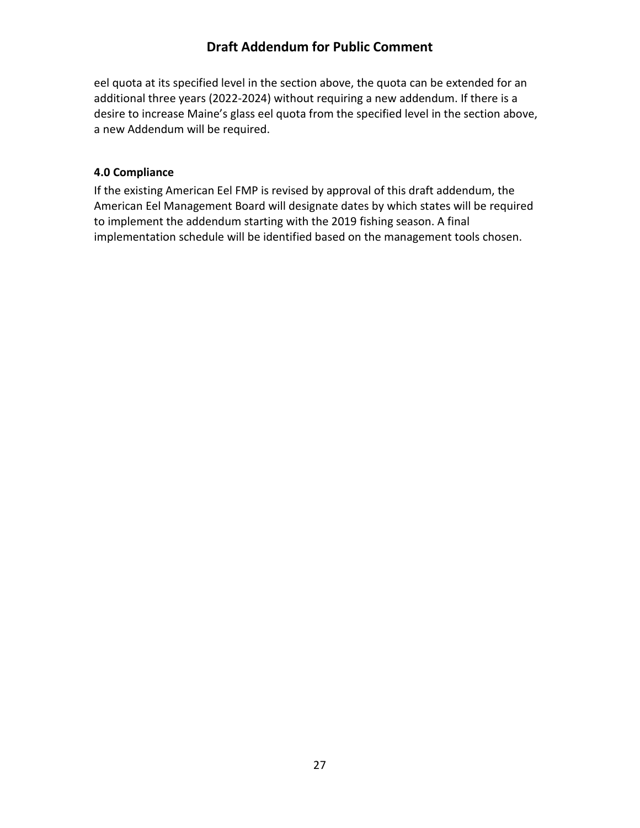eel quota at its specified level in the section above, the quota can be extended for an additional three years (2022-2024) without requiring a new addendum. If there is a desire to increase Maine's glass eel quota from the specified level in the section above, a new Addendum will be required.

### <span id="page-27-0"></span>**4.0 Compliance**

If the existing American Eel FMP is revised by approval of this draft addendum, the American Eel Management Board will designate dates by which states will be required to implement the addendum starting with the 2019 fishing season. A final implementation schedule will be identified based on the management tools chosen.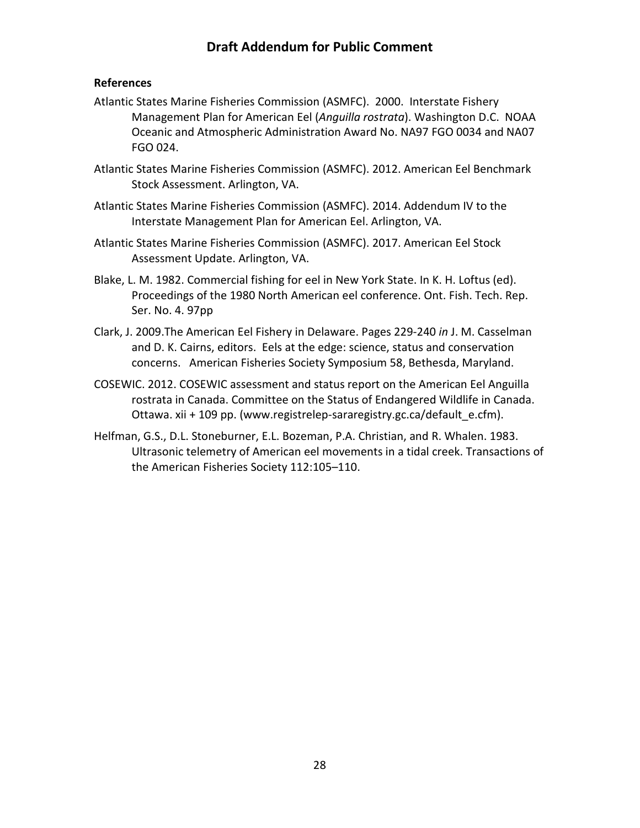#### <span id="page-28-0"></span>**References**

- Atlantic States Marine Fisheries Commission (ASMFC). 2000. Interstate Fishery Management Plan for American Eel (*Anguilla rostrata*). Washington D.C. NOAA Oceanic and Atmospheric Administration Award No. NA97 FGO 0034 and NA07 FGO 024.
- Atlantic States Marine Fisheries Commission (ASMFC). 2012. American Eel Benchmark Stock Assessment. Arlington, VA.
- Atlantic States Marine Fisheries Commission (ASMFC). 2014. Addendum IV to the Interstate Management Plan for American Eel. Arlington, VA.
- Atlantic States Marine Fisheries Commission (ASMFC). 2017. American Eel Stock Assessment Update. Arlington, VA.
- Blake, L. M. 1982. Commercial fishing for eel in New York State. In K. H. Loftus (ed). Proceedings of the 1980 North American eel conference. Ont. Fish. Tech. Rep. Ser. No. 4. 97pp
- Clark, J. 2009.The American Eel Fishery in Delaware. Pages 229-240 *in* J. M. Casselman and D. K. Cairns, editors. Eels at the edge: science, status and conservation concerns. American Fisheries Society Symposium 58, Bethesda, Maryland.
- COSEWIC. 2012. COSEWIC assessment and status report on the American Eel Anguilla rostrata in Canada. Committee on the Status of Endangered Wildlife in Canada. Ottawa. xii + 109 pp. [\(www.registrelep-sararegistry.gc.ca/default\\_e.cfm\)](http://www.registrelep-sararegistry.gc.ca/default_e.cfm).
- Helfman, G.S., D.L. Stoneburner, E.L. Bozeman, P.A. Christian, and R. Whalen. 1983. Ultrasonic telemetry of American eel movements in a tidal creek. Transactions of the American Fisheries Society 112:105–110.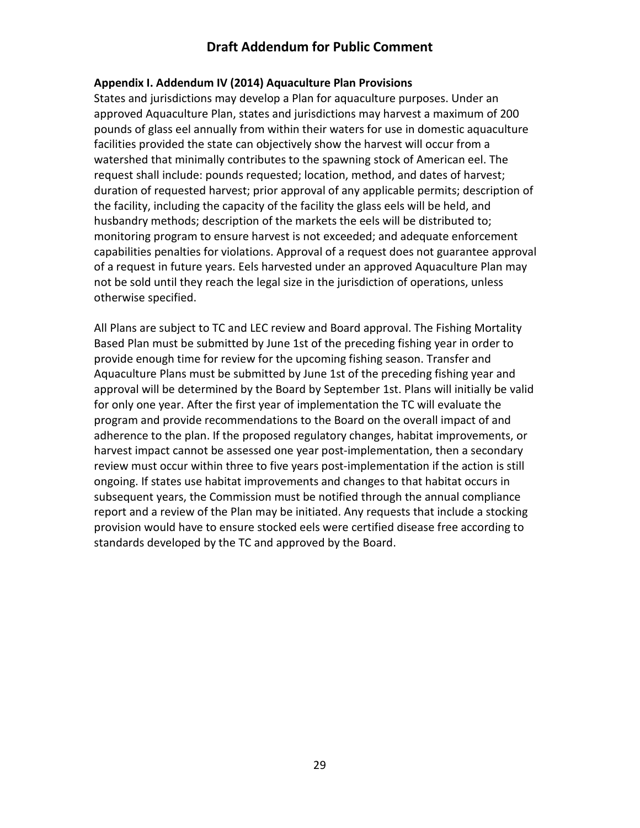#### <span id="page-29-0"></span>**Appendix I. Addendum IV (2014) Aquaculture Plan Provisions**

States and jurisdictions may develop a Plan for aquaculture purposes. Under an approved Aquaculture Plan, states and jurisdictions may harvest a maximum of 200 pounds of glass eel annually from within their waters for use in domestic aquaculture facilities provided the state can objectively show the harvest will occur from a watershed that minimally contributes to the spawning stock of American eel. The request shall include: pounds requested; location, method, and dates of harvest; duration of requested harvest; prior approval of any applicable permits; description of the facility, including the capacity of the facility the glass eels will be held, and husbandry methods; description of the markets the eels will be distributed to; monitoring program to ensure harvest is not exceeded; and adequate enforcement capabilities penalties for violations. Approval of a request does not guarantee approval of a request in future years. Eels harvested under an approved Aquaculture Plan may not be sold until they reach the legal size in the jurisdiction of operations, unless otherwise specified.

All Plans are subject to TC and LEC review and Board approval. The Fishing Mortality Based Plan must be submitted by June 1st of the preceding fishing year in order to provide enough time for review for the upcoming fishing season. Transfer and Aquaculture Plans must be submitted by June 1st of the preceding fishing year and approval will be determined by the Board by September 1st. Plans will initially be valid for only one year. After the first year of implementation the TC will evaluate the program and provide recommendations to the Board on the overall impact of and adherence to the plan. If the proposed regulatory changes, habitat improvements, or harvest impact cannot be assessed one year post-implementation, then a secondary review must occur within three to five years post-implementation if the action is still ongoing. If states use habitat improvements and changes to that habitat occurs in subsequent years, the Commission must be notified through the annual compliance report and a review of the Plan may be initiated. Any requests that include a stocking provision would have to ensure stocked eels were certified disease free according to standards developed by the TC and approved by the Board.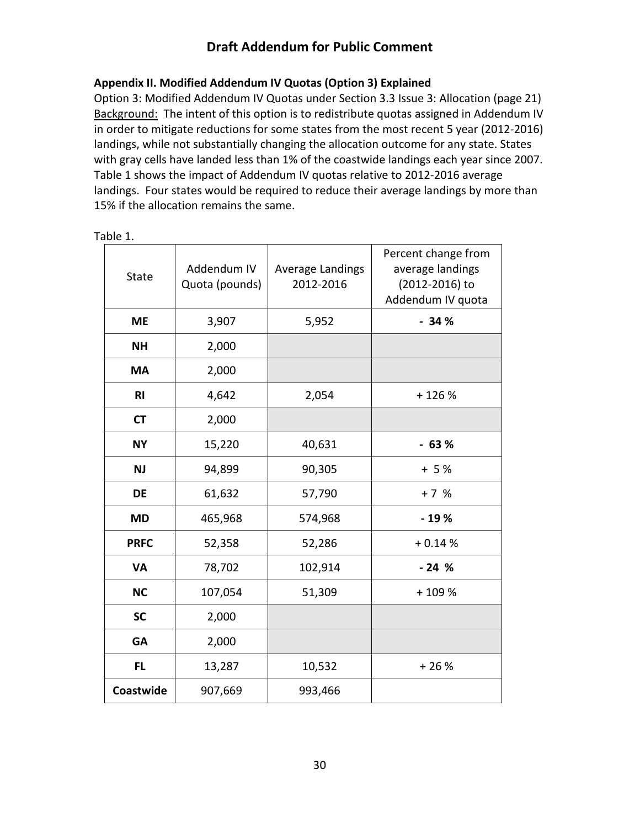### <span id="page-30-0"></span>**Appendix II. Modified Addendum IV Quotas (Option 3) Explained**

Option 3: Modified Addendum IV Quotas under Section 3.3 Issue 3: Allocation (page 21) Background:The intent of this option is to redistribute quotas assigned in Addendum IV in order to mitigate reductions for some states from the most recent 5 year (2012-2016) landings, while not substantially changing the allocation outcome for any state. States with gray cells have landed less than 1% of the coastwide landings each year since 2007. Table 1 shows the impact of Addendum IV quotas relative to 2012-2016 average landings. Four states would be required to reduce their average landings by more than 15% if the allocation remains the same.

| <b>State</b>   | Addendum IV<br>Quota (pounds) | Average Landings<br>2012-2016 | Percent change from<br>average landings<br>(2012-2016) to<br>Addendum IV quota |
|----------------|-------------------------------|-------------------------------|--------------------------------------------------------------------------------|
| <b>ME</b>      | 3,907                         | 5,952                         | $-34%$                                                                         |
| <b>NH</b>      | 2,000                         |                               |                                                                                |
| <b>MA</b>      | 2,000                         |                               |                                                                                |
| R <sub>l</sub> | 4,642                         | 2,054                         | $+126%$                                                                        |
| <b>CT</b>      | 2,000                         |                               |                                                                                |
| <b>NY</b>      | 15,220                        | 40,631                        | $-63%$                                                                         |
| <b>NJ</b>      | 94,899                        | 90,305                        | $+5%$                                                                          |
| <b>DE</b>      | 61,632                        | 57,790                        | $+7%$                                                                          |
| <b>MD</b>      | 465,968                       | 574,968                       | $-19%$                                                                         |
| <b>PRFC</b>    | 52,358                        | 52,286                        | $+0.14%$                                                                       |
| <b>VA</b>      | 78,702                        | 102,914                       | $-24%$                                                                         |
| <b>NC</b>      | 107,054                       | 51,309                        | +109%                                                                          |
| <b>SC</b>      | 2,000                         |                               |                                                                                |
| <b>GA</b>      | 2,000                         |                               |                                                                                |
| FL             | 13,287                        | 10,532                        | $+26%$                                                                         |
| Coastwide      | 907,669                       | 993,466                       |                                                                                |

Table 1.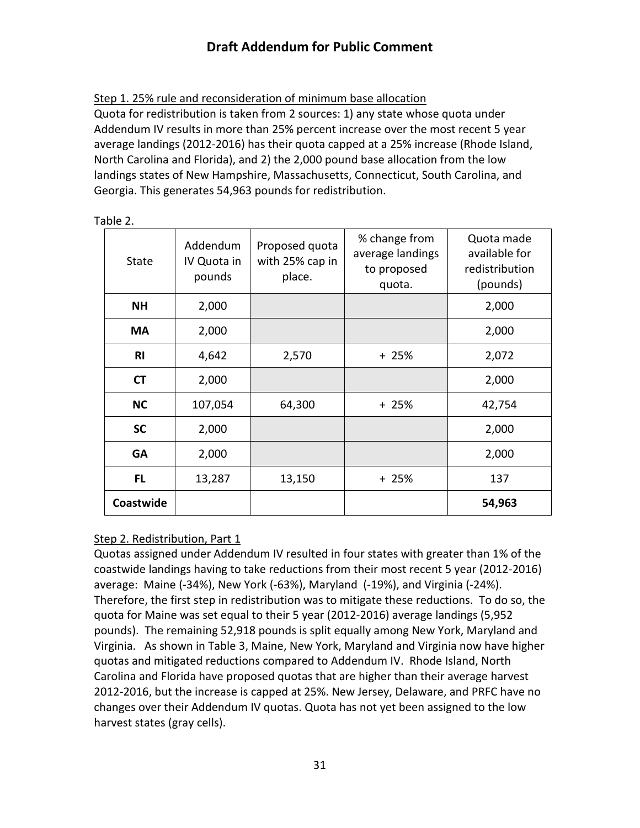Step 1. 25% rule and reconsideration of minimum base allocation

Quota for redistribution is taken from 2 sources: 1) any state whose quota under Addendum IV results in more than 25% percent increase over the most recent 5 year average landings (2012-2016) has their quota capped at a 25% increase (Rhode Island, North Carolina and Florida), and 2) the 2,000 pound base allocation from the low landings states of New Hampshire, Massachusetts, Connecticut, South Carolina, and Georgia. This generates 54,963 pounds for redistribution.

| State          | Addendum<br>IV Quota in<br>pounds | Proposed quota<br>with 25% cap in<br>place. | % change from<br>average landings<br>to proposed<br>quota. | Quota made<br>available for<br>redistribution<br>(pounds) |
|----------------|-----------------------------------|---------------------------------------------|------------------------------------------------------------|-----------------------------------------------------------|
| <b>NH</b>      | 2,000                             |                                             |                                                            | 2,000                                                     |
| <b>MA</b>      | 2,000                             |                                             |                                                            | 2,000                                                     |
| R <sub>l</sub> | 4,642                             | 2,570                                       | $+25%$                                                     | 2,072                                                     |
| <b>CT</b>      | 2,000                             |                                             |                                                            | 2,000                                                     |
| <b>NC</b>      | 107,054                           | 64,300                                      | + 25%                                                      | 42,754                                                    |
| <b>SC</b>      | 2,000                             |                                             |                                                            | 2,000                                                     |
| <b>GA</b>      | 2,000                             |                                             |                                                            | 2,000                                                     |
| FL             | 13,287                            | 13,150                                      | $+25%$                                                     | 137                                                       |
| Coastwide      |                                   |                                             |                                                            | 54,963                                                    |

Table 2.

### Step 2. Redistribution, Part 1

Quotas assigned under Addendum IV resulted in four states with greater than 1% of the coastwide landings having to take reductions from their most recent 5 year (2012-2016) average: Maine (-34%), New York (-63%), Maryland (-19%), and Virginia (-24%). Therefore, the first step in redistribution was to mitigate these reductions. To do so, the quota for Maine was set equal to their 5 year (2012-2016) average landings (5,952 pounds). The remaining 52,918 pounds is split equally among New York, Maryland and Virginia. As shown in Table 3, Maine, New York, Maryland and Virginia now have higher quotas and mitigated reductions compared to Addendum IV. Rhode Island, North Carolina and Florida have proposed quotas that are higher than their average harvest 2012-2016, but the increase is capped at 25%. New Jersey, Delaware, and PRFC have no changes over their Addendum IV quotas. Quota has not yet been assigned to the low harvest states (gray cells).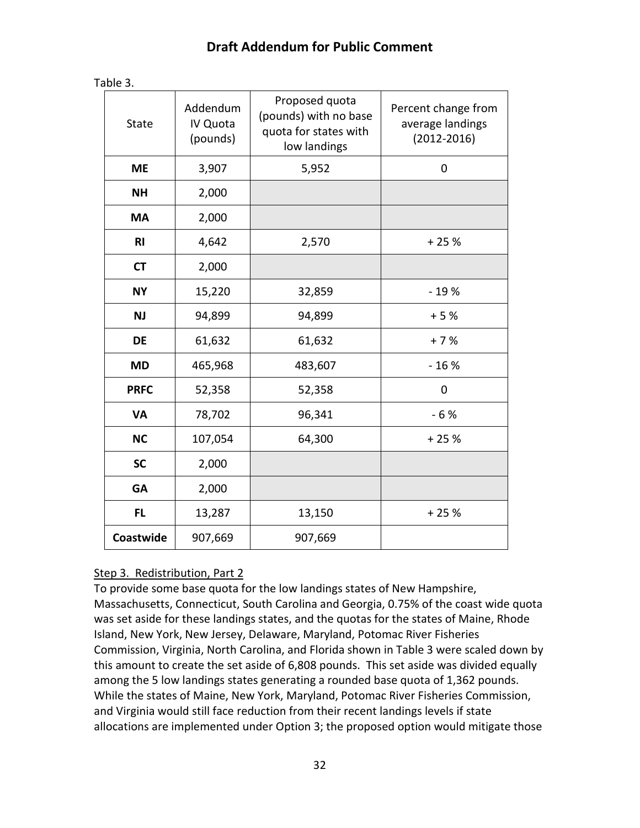| <b>State</b>   | Addendum<br>IV Quota<br>(pounds) | Proposed quota<br>(pounds) with no base<br>quota for states with<br>low landings | Percent change from<br>average landings<br>$(2012 - 2016)$ |
|----------------|----------------------------------|----------------------------------------------------------------------------------|------------------------------------------------------------|
| <b>ME</b>      | 3,907                            | 5,952                                                                            | $\mathbf 0$                                                |
| <b>NH</b>      | 2,000                            |                                                                                  |                                                            |
| <b>MA</b>      | 2,000                            |                                                                                  |                                                            |
| R <sub>l</sub> | 4,642                            | 2,570                                                                            | $+25%$                                                     |
| <b>CT</b>      | 2,000                            |                                                                                  |                                                            |
| <b>NY</b>      | 15,220                           | 32,859                                                                           | $-19%$                                                     |
| <b>NJ</b>      | 94,899                           | 94,899                                                                           | $+5%$                                                      |
| <b>DE</b>      | 61,632                           | 61,632                                                                           | $+7%$                                                      |
| <b>MD</b>      | 465,968                          | 483,607                                                                          | $-16%$                                                     |
| <b>PRFC</b>    | 52,358                           | 52,358                                                                           | 0                                                          |
| <b>VA</b>      | 78,702                           | 96,341                                                                           | $-6%$                                                      |
| <b>NC</b>      | 107,054                          | 64,300                                                                           | $+25%$                                                     |
| <b>SC</b>      | 2,000                            |                                                                                  |                                                            |
| <b>GA</b>      | 2,000                            |                                                                                  |                                                            |
| <b>FL</b>      | 13,287                           | 13,150                                                                           | $+25%$                                                     |
| Coastwide      | 907,669                          | 907,669                                                                          |                                                            |

### Step 3. Redistribution, Part 2

To provide some base quota for the low landings states of New Hampshire, Massachusetts, Connecticut, South Carolina and Georgia, 0.75% of the coast wide quota was set aside for these landings states, and the quotas for the states of Maine, Rhode Island, New York, New Jersey, Delaware, Maryland, Potomac River Fisheries Commission, Virginia, North Carolina, and Florida shown in Table 3 were scaled down by this amount to create the set aside of 6,808 pounds. This set aside was divided equally among the 5 low landings states generating a rounded base quota of 1,362 pounds. While the states of Maine, New York, Maryland, Potomac River Fisheries Commission, and Virginia would still face reduction from their recent landings levels if state allocations are implemented under Option 3; the proposed option would mitigate those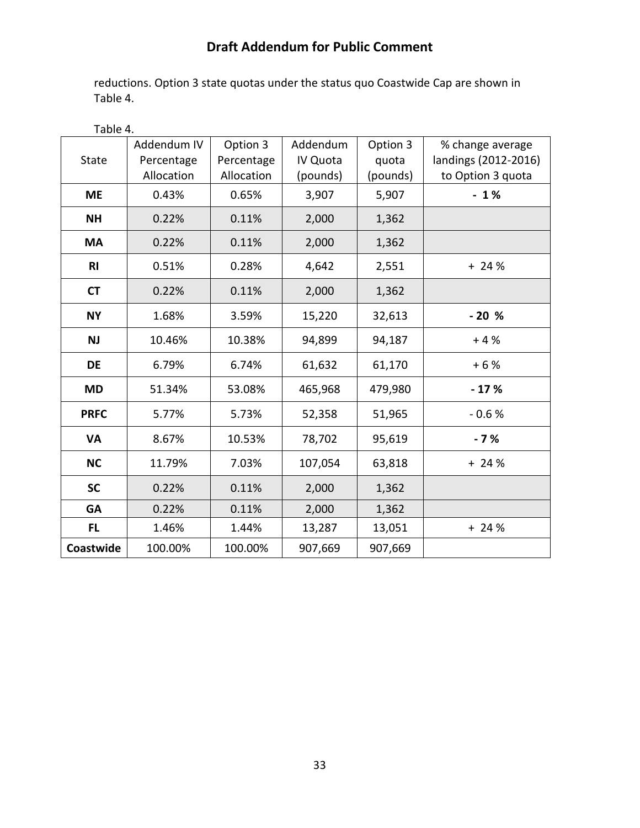reductions. Option 3 state quotas under the status quo Coastwide Cap are shown in Table 4.

| Table 4.       |                                         |                                      |                                  |                               |                                                               |
|----------------|-----------------------------------------|--------------------------------------|----------------------------------|-------------------------------|---------------------------------------------------------------|
| <b>State</b>   | Addendum IV<br>Percentage<br>Allocation | Option 3<br>Percentage<br>Allocation | Addendum<br>IV Quota<br>(pounds) | Option 3<br>quota<br>(pounds) | % change average<br>landings (2012-2016)<br>to Option 3 quota |
| <b>ME</b>      | 0.43%                                   | 0.65%                                | 3,907                            | 5,907                         | $-1%$                                                         |
| <b>NH</b>      | 0.22%                                   | 0.11%                                | 2,000                            | 1,362                         |                                                               |
| <b>MA</b>      | 0.22%                                   | 0.11%                                | 2,000                            | 1,362                         |                                                               |
| R <sub>l</sub> | 0.51%                                   | 0.28%                                | 4,642                            | 2,551                         | $+24%$                                                        |
| <b>CT</b>      | 0.22%                                   | 0.11%                                | 2,000                            | 1,362                         |                                                               |
| <b>NY</b>      | 1.68%                                   | 3.59%                                | 15,220                           | 32,613                        | $-20%$                                                        |
| <b>NJ</b>      | 10.46%                                  | 10.38%                               | 94,899                           | 94,187                        | $+4%$                                                         |
| <b>DE</b>      | 6.79%                                   | 6.74%                                | 61,632                           | 61,170                        | $+6%$                                                         |
| <b>MD</b>      | 51.34%                                  | 53.08%                               | 465,968                          | 479,980                       | $-17%$                                                        |
| <b>PRFC</b>    | 5.77%                                   | 5.73%                                | 52,358                           | 51,965                        | $-0.6%$                                                       |
| <b>VA</b>      | 8.67%                                   | 10.53%                               | 78,702                           | 95,619                        | $-7%$                                                         |
| <b>NC</b>      | 11.79%                                  | 7.03%                                | 107,054                          | 63,818                        | $+24%$                                                        |
| <b>SC</b>      | 0.22%                                   | 0.11%                                | 2,000                            | 1,362                         |                                                               |
| <b>GA</b>      | 0.22%                                   | 0.11%                                | 2,000                            | 1,362                         |                                                               |
| <b>FL</b>      | 1.46%                                   | 1.44%                                | 13,287                           | 13,051                        | $+24%$                                                        |
| Coastwide      | 100.00%                                 | 100.00%                              | 907,669                          | 907,669                       |                                                               |

33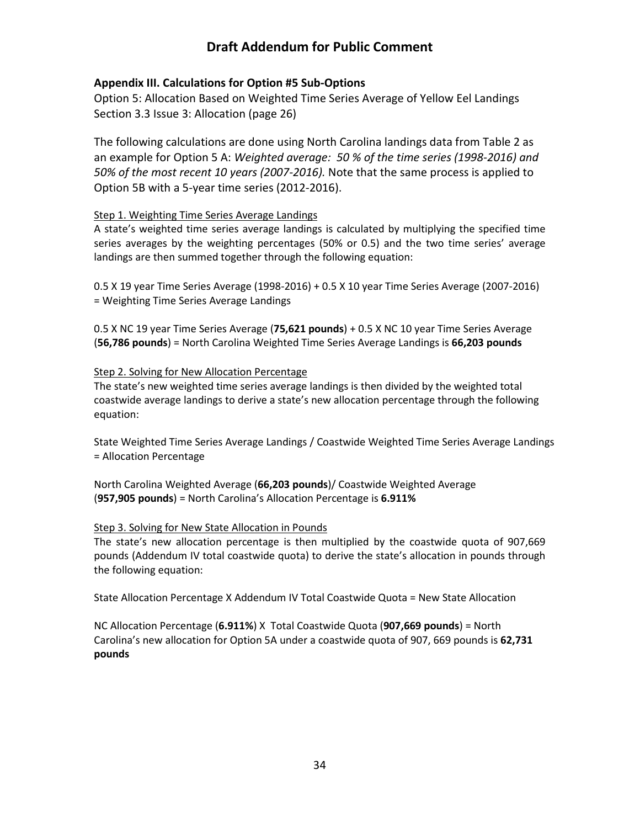#### <span id="page-34-0"></span>**Appendix III. Calculations for Option #5 Sub-Options**

Option 5: Allocation Based on Weighted Time Series Average of Yellow Eel Landings Section 3.3 Issue 3: Allocation (page 26)

The following calculations are done using North Carolina landings data from Table 2 as an example for Option 5 A: *Weighted average: 50 % of the time series (1998-2016) and 50% of the most recent 10 years (2007-2016).* Note that the same process is applied to Option 5B with a 5-year time series (2012-2016).

#### Step 1. Weighting Time Series Average Landings

A state's weighted time series average landings is calculated by multiplying the specified time series averages by the weighting percentages (50% or 0.5) and the two time series' average landings are then summed together through the following equation:

0.5 X 19 year Time Series Average (1998-2016) + 0.5 X 10 year Time Series Average (2007-2016) = Weighting Time Series Average Landings

0.5 X NC 19 year Time Series Average (**75,621 pounds**) + 0.5 X NC 10 year Time Series Average (**56,786 pounds**) = North Carolina Weighted Time Series Average Landings is **66,203 pounds**

#### Step 2. Solving for New Allocation Percentage

The state's new weighted time series average landings is then divided by the weighted total coastwide average landings to derive a state's new allocation percentage through the following equation:

State Weighted Time Series Average Landings / Coastwide Weighted Time Series Average Landings = Allocation Percentage

North Carolina Weighted Average (**66,203 pounds**)/ Coastwide Weighted Average (**957,905 pounds**) = North Carolina's Allocation Percentage is **6.911%**

#### Step 3. Solving for New State Allocation in Pounds

The state's new allocation percentage is then multiplied by the coastwide quota of 907,669 pounds (Addendum IV total coastwide quota) to derive the state's allocation in pounds through the following equation:

State Allocation Percentage X Addendum IV Total Coastwide Quota = New State Allocation

NC Allocation Percentage (**6.911%**) X Total Coastwide Quota (**907,669 pounds**) = North Carolina's new allocation for Option 5A under a coastwide quota of 907, 669 pounds is **62,731 pounds**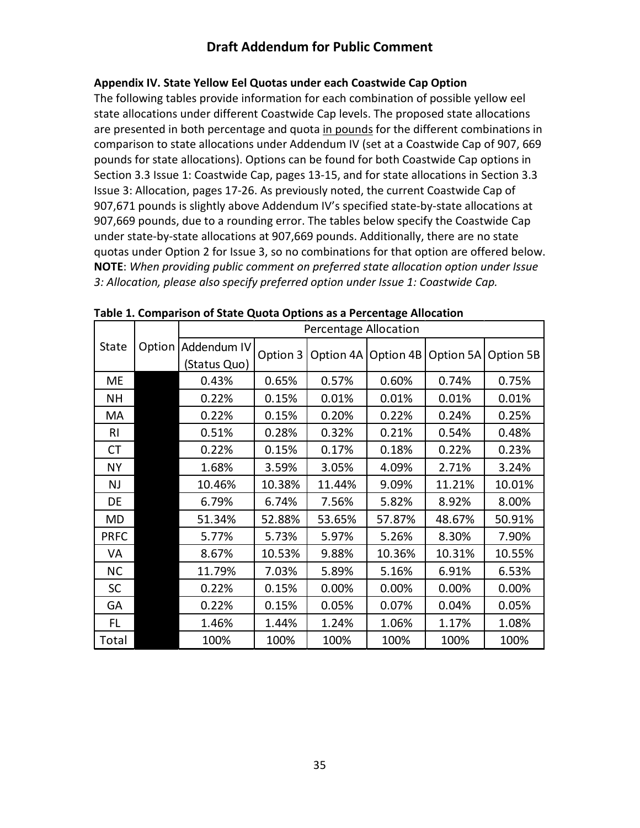#### <span id="page-35-0"></span>**Appendix IV. State Yellow Eel Quotas under each Coastwide Cap Option**

The following tables provide information for each combination of possible yellow eel state allocations under different Coastwide Cap levels. The proposed state allocations are presented in both percentage and quota in pounds for the different combinations in comparison to state allocations under Addendum IV (set at a Coastwide Cap of 907, 669 pounds for state allocations). Options can be found for both Coastwide Cap options in Section 3.3 Issue 1: Coastwide Cap, pages 13-15, and for state allocations in Section 3.3 Issue 3: Allocation, pages 17-26. As previously noted, the current Coastwide Cap of 907,671 pounds is slightly above Addendum IV's specified state-by-state allocations at 907,669 pounds, due to a rounding error. The tables below specify the Coastwide Cap under state-by-state allocations at 907,669 pounds. Additionally, there are no state quotas under Option 2 for Issue 3, so no combinations for that option are offered below. **NOTE**: *When providing public comment on preferred state allocation option under Issue 3: Allocation, please also specify preferred option under Issue 1: Coastwide Cap.*

|              |        |              |          | <b>Percentage Allocation</b> |        |                                   |        |
|--------------|--------|--------------|----------|------------------------------|--------|-----------------------------------|--------|
| <b>State</b> | Option | Addendum IV  | Option 3 | Option 4A                    |        | Option 4B   Option 5A   Option 5B |        |
|              |        | (Status Quo) |          |                              |        |                                   |        |
| <b>ME</b>    |        | 0.43%        | 0.65%    | 0.57%                        | 0.60%  | 0.74%                             | 0.75%  |
| <b>NH</b>    |        | 0.22%        | 0.15%    | 0.01%                        | 0.01%  | 0.01%                             | 0.01%  |
| MA           |        | 0.22%        | 0.15%    | 0.20%                        | 0.22%  | 0.24%                             | 0.25%  |
| <b>RI</b>    |        | 0.51%        | 0.28%    | 0.32%                        | 0.21%  | 0.54%                             | 0.48%  |
| СT           |        | 0.22%        | 0.15%    | 0.17%                        | 0.18%  | 0.22%                             | 0.23%  |
| <b>NY</b>    |        | 1.68%        | 3.59%    | 3.05%                        | 4.09%  | 2.71%                             | 3.24%  |
| <b>NJ</b>    |        | 10.46%       | 10.38%   | 11.44%                       | 9.09%  | 11.21%                            | 10.01% |
| DE           |        | 6.79%        | 6.74%    | 7.56%                        | 5.82%  | 8.92%                             | 8.00%  |
| <b>MD</b>    |        | 51.34%       | 52.88%   | 53.65%                       | 57.87% | 48.67%                            | 50.91% |
| <b>PRFC</b>  |        | 5.77%        | 5.73%    | 5.97%                        | 5.26%  | 8.30%                             | 7.90%  |
| VA           |        | 8.67%        | 10.53%   | 9.88%                        | 10.36% | 10.31%                            | 10.55% |
| <b>NC</b>    |        | 11.79%       | 7.03%    | 5.89%                        | 5.16%  | 6.91%                             | 6.53%  |
| <b>SC</b>    |        | 0.22%        | 0.15%    | 0.00%                        | 0.00%  | 0.00%                             | 0.00%  |
| GA           |        | 0.22%        | 0.15%    | 0.05%                        | 0.07%  | 0.04%                             | 0.05%  |
| FL.          |        | 1.46%        | 1.44%    | 1.24%                        | 1.06%  | 1.17%                             | 1.08%  |
| Total        |        | 100%         | 100%     | 100%                         | 100%   | 100%                              | 100%   |

**Table 1. Comparison of State Quota Options as a Percentage Allocation**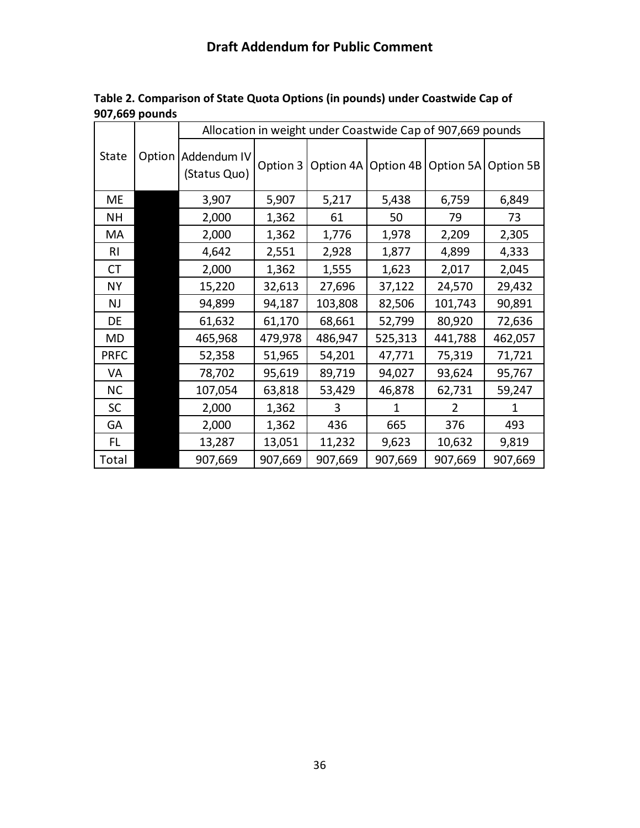|             |        |                             |          | Allocation in weight under Coastwide Cap of 907,669 pounds |                     |           |           |
|-------------|--------|-----------------------------|----------|------------------------------------------------------------|---------------------|-----------|-----------|
| State       | Option | Addendum IV<br>(Status Quo) | Option 3 |                                                            | Option 4A Option 4B | Option 5A | Option 5B |
| <b>ME</b>   |        | 3,907                       | 5,907    | 5,217                                                      | 5,438               | 6,759     | 6,849     |
| <b>NH</b>   |        | 2,000                       | 1,362    | 61                                                         | 50                  | 79        | 73        |
| MA          |        | 2,000                       | 1,362    | 1,776                                                      | 1,978               | 2,209     | 2,305     |
| <b>RI</b>   |        | 4,642                       | 2,551    | 2,928                                                      | 1,877               | 4,899     | 4,333     |
| <b>CT</b>   |        | 2,000                       | 1,362    | 1,555                                                      | 1,623               | 2,017     | 2,045     |
| <b>NY</b>   |        | 15,220                      | 32,613   | 27,696                                                     | 37,122              | 24,570    | 29,432    |
| <b>NJ</b>   |        | 94,899                      | 94,187   | 103,808                                                    | 82,506              | 101,743   | 90,891    |
| DE          |        | 61,632                      | 61,170   | 68,661                                                     | 52,799              | 80,920    | 72,636    |
| <b>MD</b>   |        | 465,968                     | 479,978  | 486,947                                                    | 525,313             | 441,788   | 462,057   |
| <b>PRFC</b> |        | 52,358                      | 51,965   | 54,201                                                     | 47,771              | 75,319    | 71,721    |
| VA          |        | 78,702                      | 95,619   | 89,719                                                     | 94,027              | 93,624    | 95,767    |
| <b>NC</b>   |        | 107,054                     | 63,818   | 53,429                                                     | 46,878              | 62,731    | 59,247    |
| <b>SC</b>   |        | 2,000                       | 1,362    | 3                                                          | 1                   | 2         | 1         |
| GA          |        | 2,000                       | 1,362    | 436                                                        | 665                 | 376       | 493       |
| FL.         |        | 13,287                      | 13,051   | 11,232                                                     | 9,623               | 10,632    | 9,819     |
| Total       |        | 907,669                     | 907,669  | 907,669                                                    | 907,669             | 907,669   | 907,669   |

**Table 2. Comparison of State Quota Options (in pounds) under Coastwide Cap of 907,669 pounds**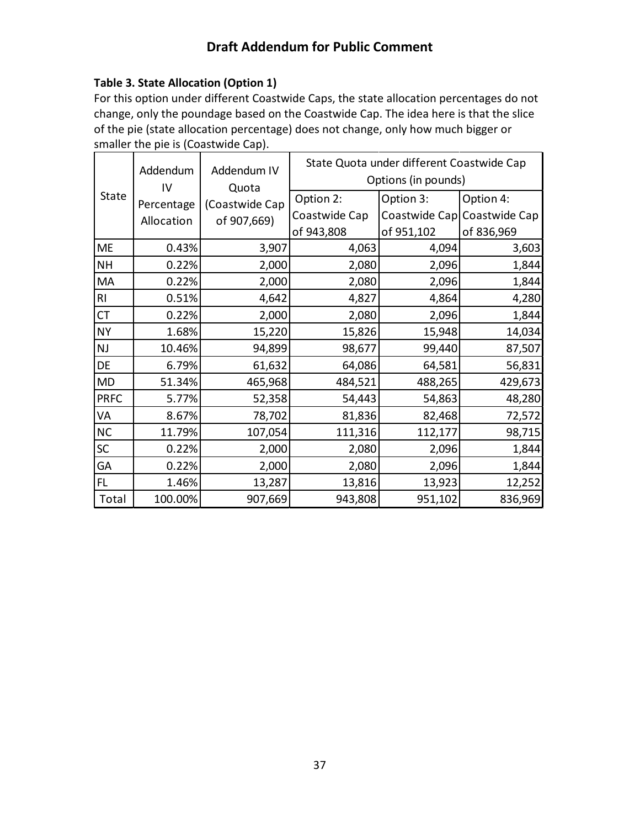### **Table 3. State Allocation (Option 1)**

For this option under different Coastwide Caps, the state allocation percentages do not change, only the poundage based on the Coastwide Cap. The idea here is that the slice of the pie (state allocation percentage) does not change, only how much bigger or smaller the pie is (Coastwide Cap).

|             | Addendum<br>IV | Addendum IV<br>Quota |               | State Quota under different Coastwide Cap<br>Options (in pounds) |                             |
|-------------|----------------|----------------------|---------------|------------------------------------------------------------------|-----------------------------|
| State       | Percentage     | (Coastwide Cap       | Option 2:     | Option 3:                                                        | Option 4:                   |
|             | Allocation     | of 907,669)          | Coastwide Cap |                                                                  | Coastwide Cap Coastwide Cap |
|             |                |                      | of 943,808    | of 951,102                                                       | of 836,969                  |
| <b>ME</b>   | 0.43%          | 3,907                | 4,063         | 4,094                                                            | 3,603                       |
| <b>NH</b>   | 0.22%          | 2,000                | 2,080         | 2,096                                                            | 1,844                       |
| MA          | 0.22%          | 2,000                | 2,080         | 2,096                                                            | 1,844                       |
| RI          | 0.51%          | 4,642                | 4,827         | 4,864                                                            | 4,280                       |
| <b>CT</b>   | 0.22%          | 2,000                | 2,080         | 2,096                                                            | 1,844                       |
| <b>NY</b>   | 1.68%          | 15,220               | 15,826        | 15,948                                                           | 14,034                      |
| NJ          | 10.46%         | 94,899               | 98,677        | 99,440                                                           | 87,507                      |
| DE          | 6.79%          | 61,632               | 64,086        | 64,581                                                           | 56,831                      |
| <b>MD</b>   | 51.34%         | 465,968              | 484,521       | 488,265                                                          | 429,673                     |
| <b>PRFC</b> | 5.77%          | 52,358               | 54,443        | 54,863                                                           | 48,280                      |
| VA          | 8.67%          | 78,702               | 81,836        | 82,468                                                           | 72,572                      |
| $NC$        | 11.79%         | 107,054              | 111,316       | 112,177                                                          | 98,715                      |
| $\sf SC$    | 0.22%          | 2,000                | 2,080         | 2,096                                                            | 1,844                       |
| GA          | 0.22%          | 2,000                | 2,080         | 2,096                                                            | 1,844                       |
| FL          | 1.46%          | 13,287               | 13,816        | 13,923                                                           | 12,252                      |
| Total       | 100.00%        | 907,669              | 943,808       | 951,102                                                          | 836,969                     |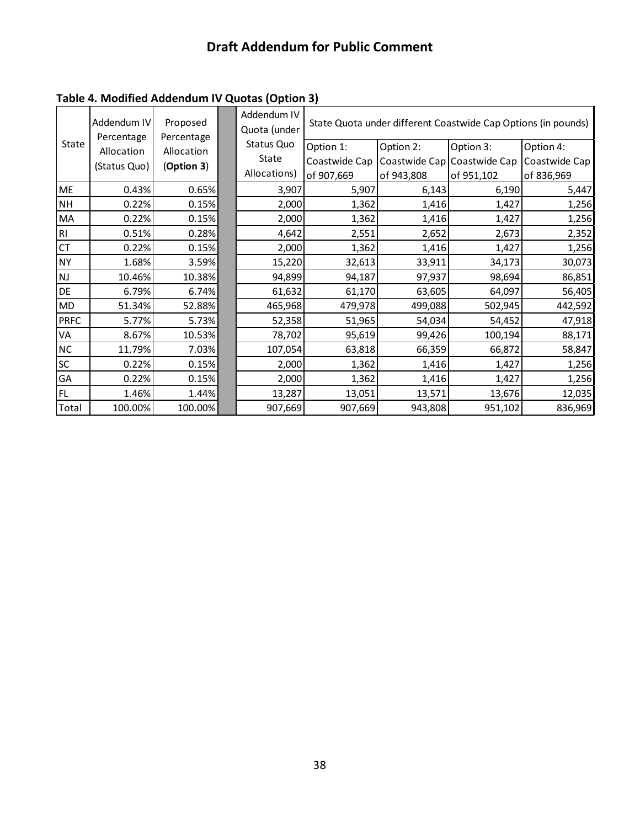|             | Addendum IV              | Proposed                 | Addendum IV<br>Quota (under |               |            | State Quota under different Coastwide Cap Options (in pounds) |               |
|-------------|--------------------------|--------------------------|-----------------------------|---------------|------------|---------------------------------------------------------------|---------------|
| State       | Percentage<br>Allocation | Percentage<br>Allocation | Status Quo                  | Option 1:     | Option 2:  | Option 3:                                                     | Option 4:     |
|             |                          |                          | State                       | Coastwide Cap |            | Coastwide Cap Coastwide Cap                                   | Coastwide Cap |
|             | (Status Quo)             | (Option 3)               | Allocations)                | of 907,669    | of 943,808 | of 951,102                                                    | of 836,969    |
| <b>ME</b>   | 0.43%                    | 0.65%                    | 3,907                       | 5,907         | 6,143      | 6,190                                                         | 5,447         |
| <b>NH</b>   | 0.22%                    | 0.15%                    | 2,000                       | 1,362         | 1,416      | 1,427                                                         | 1,256         |
| MA          | 0.22%                    | 0.15%                    | 2,000                       | 1,362         | 1,416      | 1,427                                                         | 1,256         |
| R1          | 0.51%                    | 0.28%                    | 4,642                       | 2,551         | 2,652      | 2,673                                                         | 2,352         |
| CT          | 0.22%                    | 0.15%                    | 2,000                       | 1,362         | 1,416      | 1,427                                                         | 1,256         |
| <b>NY</b>   | 1.68%                    | 3.59%                    | 15,220                      | 32,613        | 33,911     | 34,173                                                        | 30,073        |
| <b>NJ</b>   | 10.46%                   | 10.38%                   | 94,899                      | 94,187        | 97,937     | 98,694                                                        | 86,851        |
| DE          | 6.79%                    | 6.74%                    | 61,632                      | 61,170        | 63,605     | 64,097                                                        | 56,405        |
| MD          | 51.34%                   | 52.88%                   | 465,968                     | 479,978       | 499,088    | 502,945                                                       | 442,592       |
| <b>PRFC</b> | 5.77%                    | 5.73%                    | 52,358                      | 51,965        | 54,034     | 54,452                                                        | 47,918        |
| VA          | 8.67%                    | 10.53%                   | 78,702                      | 95,619        | 99,426     | 100,194                                                       | 88,171        |
| <b>NC</b>   | 11.79%                   | 7.03%                    | 107,054                     | 63,818        | 66,359     | 66,872                                                        | 58,847        |
| <b>SC</b>   | 0.22%                    | 0.15%                    | 2,000                       | 1,362         | 1,416      | 1,427                                                         | 1,256         |
| GA          | 0.22%                    | 0.15%                    | 2,000                       | 1,362         | 1,416      | 1,427                                                         | 1,256         |
| FL          | 1.46%                    | 1.44%                    | 13,287                      | 13,051        | 13,571     | 13,676                                                        | 12,035        |
| Total       | 100.00%                  | 100.00%                  | 907,669                     | 907,669       | 943,808    | 951,102                                                       | 836,969       |

### **Table 4. Modified Addendum IV Quotas (Option 3)**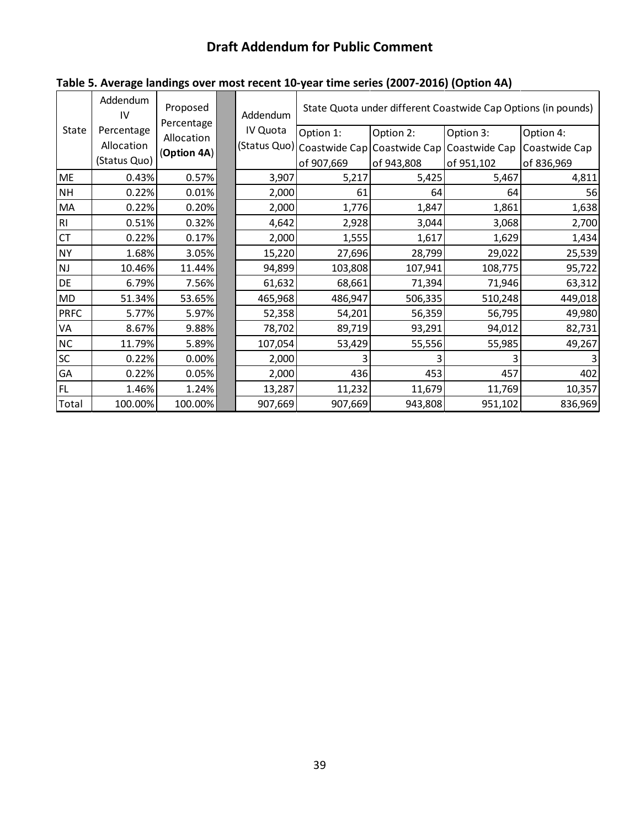|               | Addendum<br>IV | Proposed<br>Percentage | Addendum | State Quota under different Coastwide Cap Options (in pounds) |                                                        |            |               |  |  |
|---------------|----------------|------------------------|----------|---------------------------------------------------------------|--------------------------------------------------------|------------|---------------|--|--|
| State         | Percentage     | Allocation             | IV Quota | Option 1:                                                     | Option 2:                                              | Option 3:  | Option 4:     |  |  |
|               | Allocation     | (Option 4A)            |          |                                                               | (Status Quo) Coastwide Cap Coastwide Cap Coastwide Cap |            | Coastwide Cap |  |  |
|               | (Status Quo)   |                        |          | of 907,669                                                    | of 943,808                                             | of 951,102 | of 836,969    |  |  |
| ME            | 0.43%          | 0.57%                  | 3,907    | 5,217                                                         | 5,425                                                  | 5,467      | 4,811         |  |  |
| <b>NH</b>     | 0.22%          | 0.01%                  | 2,000    | 61                                                            | 64                                                     | 64         | 56            |  |  |
| MA            | 0.22%          | 0.20%                  | 2,000    | 1,776                                                         | 1,847                                                  | 1,861      | 1,638         |  |  |
| RI            | 0.51%          | 0.32%                  | 4,642    | 2,928                                                         | 3,044                                                  | 3,068      | 2,700         |  |  |
| <b>CT</b>     | 0.22%          | 0.17%                  | 2,000    | 1,555                                                         | 1,617                                                  | 1,629      | 1,434         |  |  |
| <b>NY</b>     | 1.68%          | 3.05%                  | 15,220   | 27,696                                                        | 28,799                                                 | 29,022     | 25,539        |  |  |
| $\mathsf{NJ}$ | 10.46%         | 11.44%                 | 94,899   | 103,808                                                       | 107,941                                                | 108,775    | 95,722        |  |  |
| DE            | 6.79%          | 7.56%                  | 61,632   | 68,661                                                        | 71,394                                                 | 71,946     | 63,312        |  |  |
| <b>MD</b>     | 51.34%         | 53.65%                 | 465,968  | 486,947                                                       | 506,335                                                | 510,248    | 449,018       |  |  |
| <b>PRFC</b>   | 5.77%          | 5.97%                  | 52,358   | 54,201                                                        | 56,359                                                 | 56,795     | 49,980        |  |  |
| VA            | 8.67%          | 9.88%                  | 78,702   | 89,719                                                        | 93,291                                                 | 94,012     | 82,731        |  |  |
| $NC$          | 11.79%         | 5.89%                  | 107,054  | 53,429                                                        | 55,556                                                 | 55,985     | 49,267        |  |  |
| $\sf SC$      | 0.22%          | 0.00%                  | 2,000    |                                                               |                                                        |            |               |  |  |
| GA            | 0.22%          | 0.05%                  | 2,000    | 436                                                           | 453                                                    | 457        | 402           |  |  |
| FL.           | 1.46%          | 1.24%                  | 13,287   | 11,232                                                        | 11,679                                                 | 11,769     | 10,357        |  |  |
| Total         | 100.00%        | 100.00%                | 907,669  | 907,669                                                       | 943,808                                                | 951,102    | 836,969       |  |  |

# **Table 5. Average landings over most recent 10-year time series (2007-2016) (Option 4A)**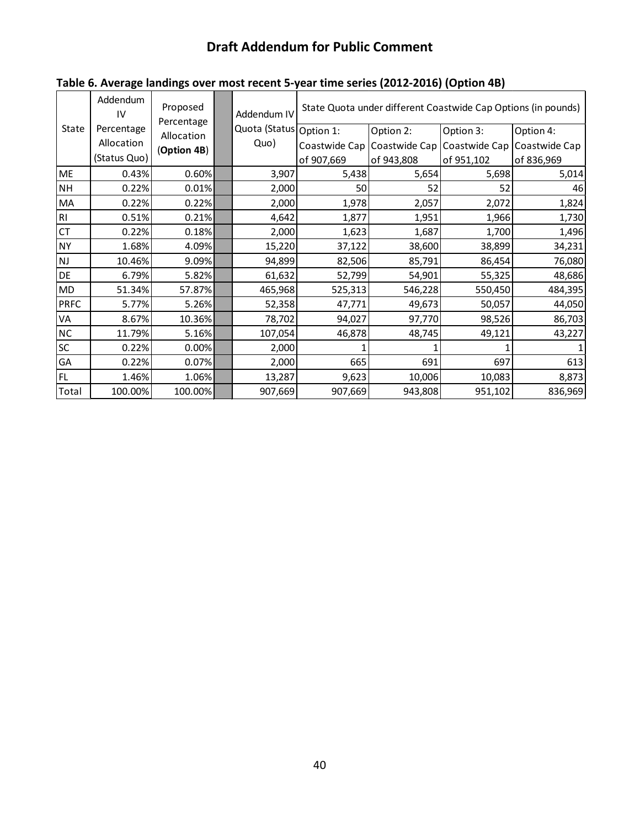|               | Addendum<br>IV | Proposed<br>Percentage |                           | Addendum IV   | State Quota under different Coastwide Cap Options (in pounds) |               |               |  |  |
|---------------|----------------|------------------------|---------------------------|---------------|---------------------------------------------------------------|---------------|---------------|--|--|
| State         | Percentage     | Allocation             | Quota (Status   Option 1: |               | Option 2:                                                     | Option 3:     | Option 4:     |  |  |
|               | Allocation     | (Option 4B)            | Quo)                      | Coastwide Cap | Coastwide Cap                                                 | Coastwide Cap | Coastwide Cap |  |  |
|               | (Status Quo)   |                        |                           | of 907,669    | of 943,808                                                    | of 951,102    | of 836,969    |  |  |
| <b>ME</b>     | 0.43%          | 0.60%                  | 3,907                     | 5,438         | 5,654                                                         | 5,698         | 5,014         |  |  |
| <b>NH</b>     | 0.22%          | 0.01%                  | 2,000                     | 50            | 52                                                            | 52            | 46            |  |  |
| MA            | 0.22%          | 0.22%                  | 2,000                     | 1,978         | 2,057                                                         | 2,072         | 1,824         |  |  |
| RI            | 0.51%          | 0.21%                  | 4,642                     | 1,877         | 1,951                                                         | 1,966         | 1,730         |  |  |
| CT            | 0.22%          | 0.18%                  | 2,000                     | 1,623         | 1,687                                                         | 1,700         | 1,496         |  |  |
| <b>NY</b>     | 1.68%          | 4.09%                  | 15,220                    | 37,122        | 38,600                                                        | 38,899        | 34,231        |  |  |
| $\mathsf{NJ}$ | 10.46%         | 9.09%                  | 94,899                    | 82,506        | 85,791                                                        | 86,454        | 76,080        |  |  |
| DE            | 6.79%          | 5.82%                  | 61,632                    | 52,799        | 54,901                                                        | 55,325        | 48,686        |  |  |
| MD            | 51.34%         | 57.87%                 | 465,968                   | 525,313       | 546,228                                                       | 550,450       | 484,395       |  |  |
| <b>PRFC</b>   | 5.77%          | 5.26%                  | 52,358                    | 47,771        | 49,673                                                        | 50,057        | 44,050        |  |  |
| VA            | 8.67%          | 10.36%                 | 78,702                    | 94,027        | 97,770                                                        | 98,526        | 86,703        |  |  |
| NC            | 11.79%         | 5.16%                  | 107,054                   | 46,878        | 48,745                                                        | 49,121        | 43,227        |  |  |
| SC            | 0.22%          | 0.00%                  | 2,000                     |               |                                                               |               |               |  |  |
| GA            | 0.22%          | 0.07%                  | 2,000                     | 665           | 691                                                           | 697           | 613           |  |  |
| FL.           | 1.46%          | 1.06%                  | 13,287                    | 9,623         | 10,006                                                        | 10,083        | 8,873         |  |  |
| Total         | 100.00%        | 100.00%                | 907,669                   | 907,669       | 943,808                                                       | 951,102       | 836,969       |  |  |

# **Table 6. Average landings over most recent 5-year time series (2012-2016) (Option 4B)**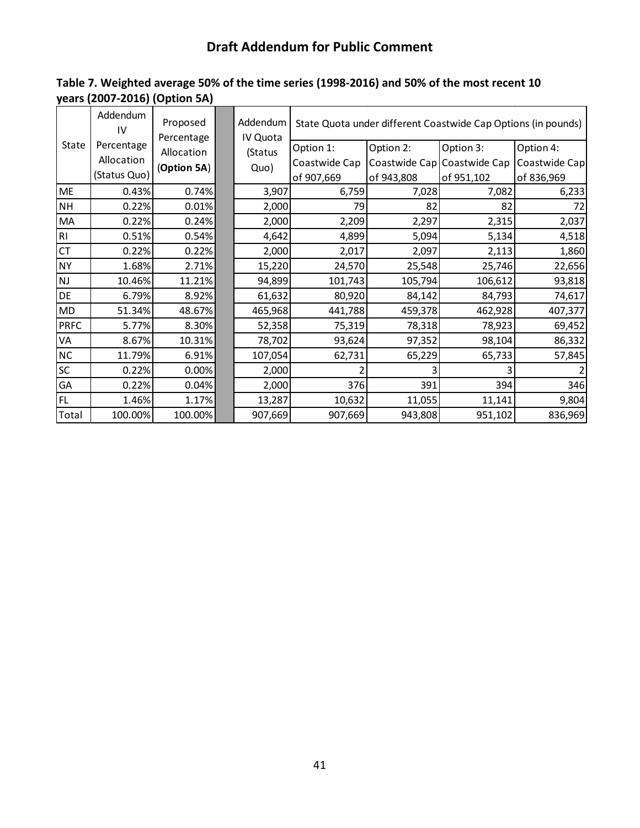| Table 7. Weighted average 50% of the time series (1998-2016) and 50% of the most recent 10 |  |
|--------------------------------------------------------------------------------------------|--|
| years (2007-2016) (Option 5A)                                                              |  |

|                | Addendum<br>IV | Proposed<br>Percentage | Addendum<br>IV Quota |               |            | State Quota under different Coastwide Cap Options (in pounds) |               |
|----------------|----------------|------------------------|----------------------|---------------|------------|---------------------------------------------------------------|---------------|
| State          | Percentage     | Allocation             | (Status              | Option 1:     | Option 2:  | Option 3:                                                     | Option 4:     |
|                | Allocation     | (Option 5A)            | Quo)                 | Coastwide Cap |            | Coastwide Cap Coastwide Cap                                   | Coastwide Cap |
|                | (Status Quo)   |                        |                      | of 907,669    | of 943,808 | of 951,102                                                    | of 836,969    |
| ME             | 0.43%          | 0.74%                  | 3,907                | 6,759         | 7,028      | 7,082                                                         | 6,233         |
| <b>NH</b>      | 0.22%          | 0.01%                  | 2,000                | 79            | 82         | 82                                                            | 72            |
| MA             | 0.22%          | 0.24%                  | 2,000                | 2,209         | 2,297      | 2,315                                                         | 2,037         |
| R <sub>l</sub> | 0.51%          | 0.54%                  | 4,642                | 4,899         | 5,094      | 5,134                                                         | 4,518         |
| <b>CT</b>      | 0.22%          | 0.22%                  | 2,000                | 2,017         | 2,097      | 2,113                                                         | 1,860         |
| <b>NY</b>      | 1.68%          | 2.71%                  | 15,220               | 24,570        | 25,548     | 25,746                                                        | 22,656        |
| NJ             | 10.46%         | 11.21%                 | 94,899               | 101,743       | 105,794    | 106,612                                                       | 93,818        |
| DE             | 6.79%          | 8.92%                  | 61,632               | 80,920        | 84,142     | 84,793                                                        | 74,617        |
| <b>MD</b>      | 51.34%         | 48.67%                 | 465,968              | 441,788       | 459,378    | 462,928                                                       | 407,377       |
| <b>PRFC</b>    | 5.77%          | 8.30%                  | 52,358               | 75,319        | 78,318     | 78,923                                                        | 69,452        |
| VA             | 8.67%          | 10.31%                 | 78,702               | 93,624        | 97,352     | 98,104                                                        | 86,332        |
| NC             | 11.79%         | 6.91%                  | 107,054              | 62,731        | 65,229     | 65,733                                                        | 57,845        |
| SC             | 0.22%          | 0.00%                  | 2,000                |               |            |                                                               |               |
| GA             | 0.22%          | 0.04%                  | 2,000                | 376           | 391        | 394                                                           | 346           |
| <b>FL</b>      | 1.46%          | 1.17%                  | 13,287               | 10,632        | 11,055     | 11,141                                                        | 9,804         |
| Total          | 100.00%        | 100.00%                | 907,669              | 907,669       | 943,808    | 951,102                                                       | 836,969       |